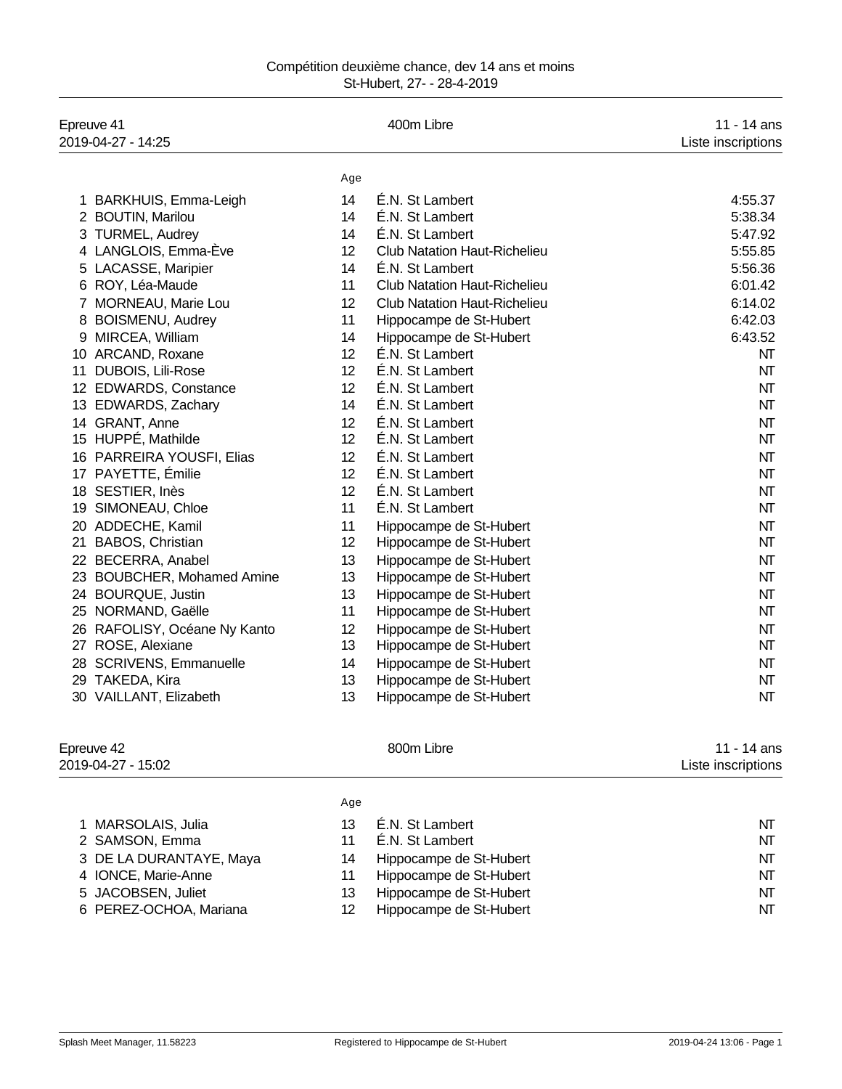| Compétition deuxième chance, dev 14 ans et moins |  |  |
|--------------------------------------------------|--|--|
| St-Hubert, 27- - 28-4-2019                       |  |  |

| Epreuve 41<br>2019-04-27 - 14:25     |     | 400m Libre                          | 11 - 14 ans<br>Liste inscriptions |
|--------------------------------------|-----|-------------------------------------|-----------------------------------|
|                                      | Age |                                     |                                   |
| 1 BARKHUIS, Emma-Leigh               | 14  | É.N. St Lambert                     | 4:55.37                           |
| 2 BOUTIN, Marilou                    | 14  | É.N. St Lambert                     | 5:38.34                           |
| 3 TURMEL, Audrey                     | 14  | É.N. St Lambert                     | 5:47.92                           |
| 4 LANGLOIS, Emma-Ève                 | 12  | <b>Club Natation Haut-Richelieu</b> | 5:55.85                           |
| 5 LACASSE, Maripier                  | 14  | É.N. St Lambert                     | 5:56.36                           |
| 6 ROY, Léa-Maude                     | 11  | <b>Club Natation Haut-Richelieu</b> | 6:01.42                           |
| 7 MORNEAU, Marie Lou                 | 12  | <b>Club Natation Haut-Richelieu</b> | 6:14.02                           |
| 8 BOISMENU, Audrey                   | 11  | Hippocampe de St-Hubert             | 6:42.03                           |
| 9 MIRCEA, William                    | 14  | Hippocampe de St-Hubert             | 6:43.52                           |
| 10 ARCAND, Roxane                    | 12  | É.N. St Lambert                     | NT                                |
| DUBOIS, Lili-Rose<br>11              | 12  | É.N. St Lambert                     | NT                                |
| 12 EDWARDS, Constance                | 12  | É.N. St Lambert                     | NT                                |
| 13 EDWARDS, Zachary                  | 14  | É.N. St Lambert                     | NT                                |
| 14 GRANT, Anne                       | 12  | É.N. St Lambert                     | NT                                |
| 15 HUPPÉ, Mathilde                   | 12  | É.N. St Lambert                     | NT                                |
| PARREIRA YOUSFI, Elias<br>16         | 12  | É.N. St Lambert                     | NΤ                                |
| PAYETTE, Émilie<br>17                | 12  | É.N. St Lambert                     | NT                                |
| 18 SESTIER, Inès                     | 12  | É.N. St Lambert                     | NT                                |
| SIMONEAU, Chloe<br>19                | 11  | É.N. St Lambert                     | NΤ                                |
| ADDECHE, Kamil<br>20                 | 11  | Hippocampe de St-Hubert             | NT                                |
| BABOS, Christian<br>21               | 12  | Hippocampe de St-Hubert             | NT                                |
| 22 BECERRA, Anabel                   | 13  | Hippocampe de St-Hubert             | NT                                |
| <b>BOUBCHER, Mohamed Amine</b><br>23 | 13  | Hippocampe de St-Hubert             | NΤ                                |
| 24 BOURQUE, Justin                   | 13  | Hippocampe de St-Hubert             | NT                                |
| 25 NORMAND, Gaëlle                   | 11  | Hippocampe de St-Hubert             | NT                                |
| 26 RAFOLISY, Océane Ny Kanto         | 12  | Hippocampe de St-Hubert             | NΤ                                |
| 27 ROSE, Alexiane                    | 13  | Hippocampe de St-Hubert             | NT                                |
| 28 SCRIVENS, Emmanuelle              | 14  | Hippocampe de St-Hubert             | NT                                |
| 29 TAKEDA, Kira                      | 13  | Hippocampe de St-Hubert             | NΤ                                |
| 30 VAILLANT, Elizabeth               | 13  | Hippocampe de St-Hubert             | NT                                |

Epreuve 42 **800m Libre** 11 - 14 ans

2019-04-27 - 15:02 Liste inscriptions

|                         | Age |                         |    |
|-------------------------|-----|-------------------------|----|
| 1 MARSOLAIS, Julia      | 13  | É.N. St Lambert         | NΤ |
| 2 SAMSON, Emma          | 11  | É.N. St Lambert         | NΤ |
| 3 DE LA DURANTAYE, Maya | 14  | Hippocampe de St-Hubert | NΤ |
| 4 IONCE, Marie-Anne     | 11  | Hippocampe de St-Hubert | NΤ |
| 5 JACOBSEN, Juliet      | 13  | Hippocampe de St-Hubert | NΤ |
| 6 PEREZ-OCHOA, Mariana  | 12  | Hippocampe de St-Hubert | NΤ |
|                         |     |                         |    |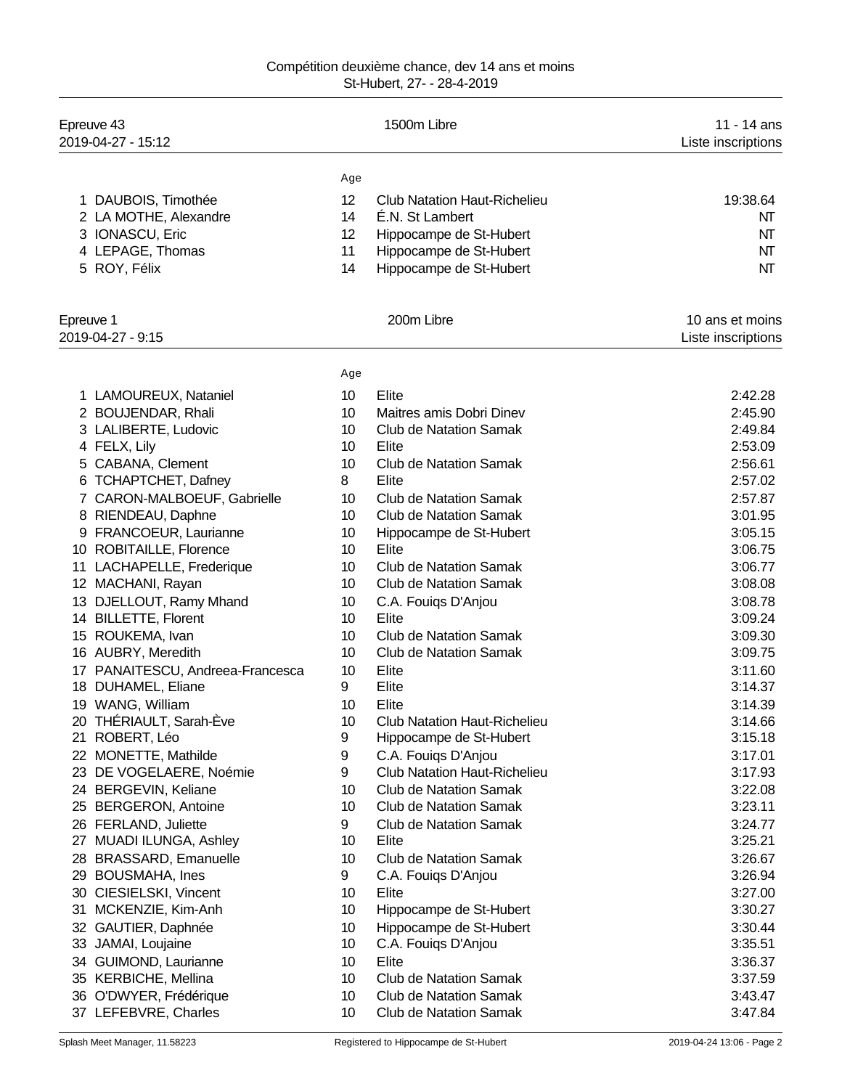## Compétition deuxième chance, dev 14 ans et moins St-Hubert, 27- - 28-4-2019

| Epreuve 43<br>2019-04-27 - 15:12             |          | 1500m Libre                                            | 11 - 14 ans<br>Liste inscriptions |
|----------------------------------------------|----------|--------------------------------------------------------|-----------------------------------|
|                                              | Age      |                                                        |                                   |
| 1 DAUBOIS, Timothée<br>2 LA MOTHE, Alexandre | 12<br>14 | <b>Club Natation Haut-Richelieu</b><br>É.N. St Lambert | 19:38.64<br>NT                    |
| 3 IONASCU, Eric                              | 12       | Hippocampe de St-Hubert                                | NT                                |
| 4 LEPAGE, Thomas                             | 11       | Hippocampe de St-Hubert                                | NT                                |
| 5 ROY, Félix                                 | 14       | Hippocampe de St-Hubert                                | NT                                |
| Epreuve 1                                    |          | 200m Libre                                             | 10 ans et moins                   |
| 2019-04-27 - 9:15                            |          |                                                        | Liste inscriptions                |
|                                              | Age      |                                                        |                                   |
| 1 LAMOUREUX, Nataniel                        | 10       | Elite                                                  | 2:42.28                           |
| 2 BOUJENDAR, Rhali                           | 10       | Maitres amis Dobri Dinev                               | 2:45.90                           |
| 3 LALIBERTE, Ludovic                         | 10       | <b>Club de Natation Samak</b>                          | 2:49.84                           |
| 4 FELX, Lily                                 | 10       | Elite                                                  | 2:53.09                           |
| 5 CABANA, Clement                            | 10       | <b>Club de Natation Samak</b>                          | 2:56.61                           |
| 6 TCHAPTCHET, Dafney                         | 8        | Elite                                                  | 2:57.02                           |
| 7 CARON-MALBOEUF, Gabrielle                  | 10       | <b>Club de Natation Samak</b>                          | 2:57.87                           |
| 8 RIENDEAU, Daphne                           | 10       | <b>Club de Natation Samak</b>                          | 3:01.95                           |
| 9 FRANCOEUR, Laurianne                       | 10       | Hippocampe de St-Hubert                                | 3:05.15                           |
| 10 ROBITAILLE, Florence                      | 10       | Elite                                                  | 3:06.75                           |
| 11 LACHAPELLE, Frederique                    | 10       | <b>Club de Natation Samak</b>                          | 3:06.77                           |
| 12 MACHANI, Rayan                            | 10       | <b>Club de Natation Samak</b>                          | 3:08.08                           |
| 13 DJELLOUT, Ramy Mhand                      | 10       | C.A. Fouiqs D'Anjou                                    | 3:08.78                           |
| 14 BILLETTE, Florent                         | 10       | Elite                                                  | 3:09.24                           |
| 15 ROUKEMA, Ivan                             | 10       | <b>Club de Natation Samak</b>                          | 3:09.30                           |
| 16 AUBRY, Meredith                           | 10       | <b>Club de Natation Samak</b>                          | 3:09.75                           |
| 17 PANAITESCU, Andreea-Francesca             | 10       | Elite                                                  | 3:11.60                           |
| 18 DUHAMEL, Eliane                           | 9        | Elite                                                  | 3:14.37                           |
| 19 WANG, William                             | 10       | Elite                                                  | 3:14.39                           |
| 20 THÉRIAULT, Sarah-Ève                      | 10       | Club Natation Haut-Richelieu                           | 3:14.66                           |
| 21 ROBERT, Léo                               | 9        | Hippocampe de St-Hubert                                | 3:15.18                           |
| 22 MONETTE, Mathilde                         | 9        | C.A. Fouigs D'Anjou                                    | 3:17.01                           |
| 23 DE VOGELAERE, Noémie                      | 9        | <b>Club Natation Haut-Richelieu</b>                    | 3:17.93                           |
| 24 BERGEVIN, Keliane                         | 10       | <b>Club de Natation Samak</b>                          | 3:22.08                           |
| 25 BERGERON, Antoine                         | 10       | <b>Club de Natation Samak</b>                          | 3:23.11                           |
| 26 FERLAND, Juliette                         | 9        | <b>Club de Natation Samak</b>                          | 3:24.77                           |
| 27 MUADI ILUNGA, Ashley                      | 10       | Elite                                                  | 3:25.21                           |
| <b>BRASSARD, Emanuelle</b><br>28             | 10       | <b>Club de Natation Samak</b>                          | 3:26.67                           |
| <b>BOUSMAHA, Ines</b><br>29                  | 9        | C.A. Fouigs D'Anjou                                    | 3:26.94                           |
| 30 CIESIELSKI, Vincent                       | 10       | Elite                                                  | 3:27.00                           |
| MCKENZIE, Kim-Anh<br>31                      | 10       | Hippocampe de St-Hubert                                | 3:30.27                           |
| 32 GAUTIER, Daphnée                          | 10       | Hippocampe de St-Hubert                                | 3:30.44                           |
| 33 JAMAI, Loujaine                           | 10       | C.A. Fouiqs D'Anjou                                    | 3:35.51                           |
| 34 GUIMOND, Laurianne                        | 10       | Elite                                                  | 3:36.37                           |
| 35 KERBICHE, Mellina                         | 10       | <b>Club de Natation Samak</b>                          | 3:37.59                           |
| 36 O'DWYER, Frédérique                       | 10       | <b>Club de Natation Samak</b>                          | 3:43.47                           |
| 37 LEFEBVRE, Charles                         | 10       | <b>Club de Natation Samak</b>                          | 3:47.84                           |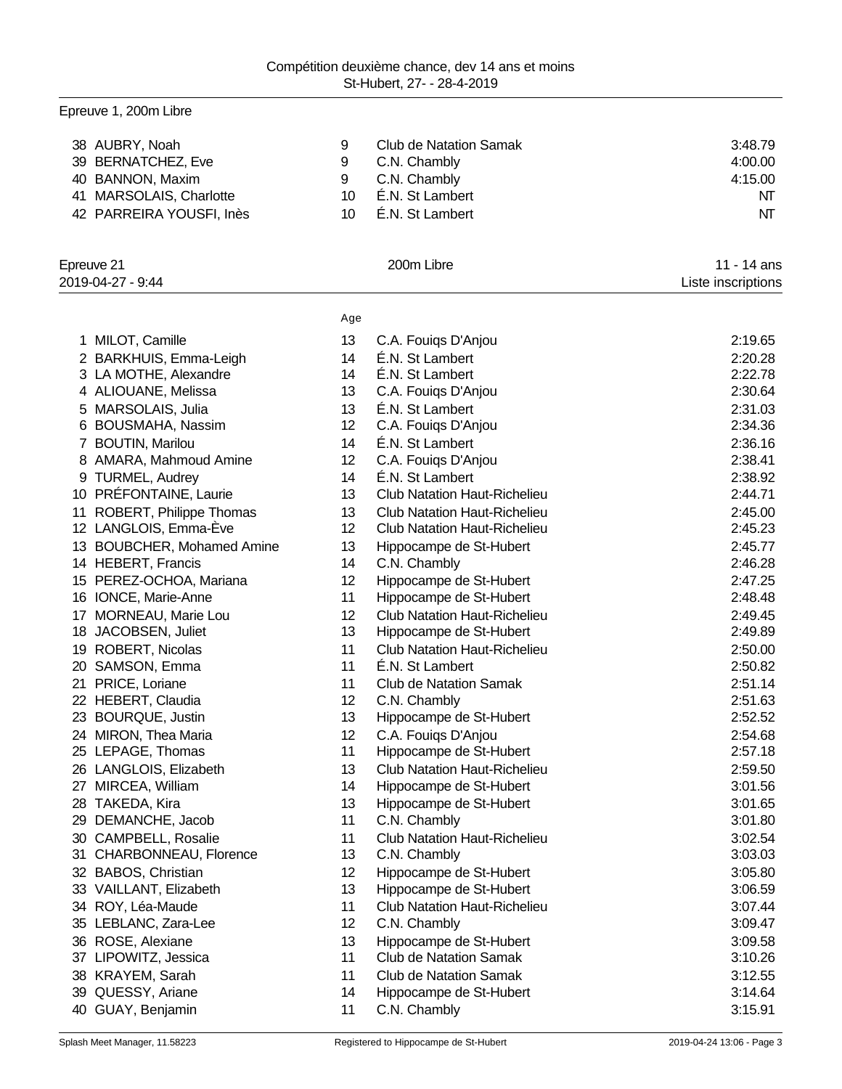# Epreuve 1, 200m Libre

|    | 38 AUBRY, Noah<br>39 BERNATCHEZ, Eve | 9<br>9   | <b>Club de Natation Samak</b><br>C.N. Chambly            | 3:48.79<br>4:00.00 |
|----|--------------------------------------|----------|----------------------------------------------------------|--------------------|
|    | 40 BANNON, Maxim                     | 9        | C.N. Chambly                                             | 4:15.00            |
| 41 | MARSOLAIS, Charlotte                 | 10       | É.N. St Lambert                                          | NT                 |
|    | 42 PARREIRA YOUSFI, Inès             | 10       | É.N. St Lambert                                          | NΤ                 |
|    | Epreuve 21                           |          | 200m Libre                                               | 11 - 14 ans        |
|    | 2019-04-27 - 9:44                    |          |                                                          | Liste inscriptions |
|    |                                      |          |                                                          |                    |
|    |                                      | Age      |                                                          |                    |
|    | 1 MILOT, Camille                     | 13       | C.A. Fouiqs D'Anjou                                      | 2:19.65            |
|    | 2 BARKHUIS, Emma-Leigh               | 14       | É.N. St Lambert                                          | 2:20.28            |
|    | 3 LA MOTHE, Alexandre                | 14       | E.N. St Lambert                                          | 2:22.78            |
|    | 4 ALIOUANE, Melissa                  | 13       | C.A. Fouigs D'Anjou                                      | 2:30.64            |
|    | 5 MARSOLAIS, Julia                   | 13       | É.N. St Lambert                                          | 2:31.03            |
|    | 6 BOUSMAHA, Nassim                   | 12       | C.A. Fouigs D'Anjou                                      | 2:34.36            |
|    | 7 BOUTIN, Marilou                    | 14       | É.N. St Lambert                                          | 2:36.16            |
|    | 8 AMARA, Mahmoud Amine               | 12       | C.A. Fouiqs D'Anjou                                      | 2:38.41            |
|    | 9 TURMEL, Audrey                     | 14       | É.N. St Lambert                                          | 2:38.92            |
|    | 10 PRÉFONTAINE, Laurie               | 13       | <b>Club Natation Haut-Richelieu</b>                      | 2:44.71            |
| 11 | ROBERT, Philippe Thomas              | 13       | <b>Club Natation Haut-Richelieu</b>                      | 2:45.00            |
|    | 12 LANGLOIS, Emma-Ève                | 12       | <b>Club Natation Haut-Richelieu</b>                      | 2:45.23            |
|    | 13 BOUBCHER, Mohamed Amine           | 13       | Hippocampe de St-Hubert                                  | 2:45.77            |
|    | 14 HEBERT, Francis                   | 14       | C.N. Chambly                                             | 2:46.28            |
|    | 15 PEREZ-OCHOA, Mariana              | 12       | Hippocampe de St-Hubert                                  | 2:47.25            |
|    | 16 IONCE, Marie-Anne                 | 11       | Hippocampe de St-Hubert                                  | 2:48.48            |
| 17 | MORNEAU, Marie Lou                   | 12       | <b>Club Natation Haut-Richelieu</b>                      | 2:49.45            |
|    | 18 JACOBSEN, Juliet                  | 13       | Hippocampe de St-Hubert                                  | 2:49.89            |
|    | 19 ROBERT, Nicolas                   | 11       | <b>Club Natation Haut-Richelieu</b>                      | 2:50.00            |
|    | 20 SAMSON, Emma                      | 11       | É.N. St Lambert                                          | 2:50.82            |
| 21 | PRICE, Loriane                       | 11       | <b>Club de Natation Samak</b>                            | 2:51.14            |
|    | 22 HEBERT, Claudia                   | 12       | C.N. Chambly                                             | 2:51.63            |
|    | 23 BOURQUE, Justin                   | 13       | Hippocampe de St-Hubert                                  | 2:52.52            |
|    | 24 MIRON, Thea Maria                 | 12       | C.A. Fouigs D'Anjou                                      | 2:54.68            |
|    | 25 LEPAGE, Thomas                    | 11       | Hippocampe de St-Hubert                                  | 2:57.18            |
|    | 26 LANGLOIS, Elizabeth               | 13       | <b>Club Natation Haut-Richelieu</b>                      | 2:59.50            |
|    | 27 MIRCEA, William                   | 14       | Hippocampe de St-Hubert                                  | 3:01.56            |
|    | 28 TAKEDA, Kira                      | 13       | Hippocampe de St-Hubert                                  | 3:01.65            |
| 29 | DEMANCHE, Jacob                      | 11       | C.N. Chambly                                             | 3:01.80            |
|    | 30 CAMPBELL, Rosalie                 | 11       | <b>Club Natation Haut-Richelieu</b>                      | 3:02.54            |
|    | 31 CHARBONNEAU, Florence             | 13       | C.N. Chambly                                             | 3:03.03            |
|    | 32 BABOS, Christian                  | 12       | Hippocampe de St-Hubert                                  | 3:05.80            |
|    | 33 VAILLANT, Elizabeth               | 13       | Hippocampe de St-Hubert                                  | 3:06.59            |
|    | 34 ROY, Léa-Maude                    | 11       | Club Natation Haut-Richelieu                             | 3:07.44            |
|    | 35 LEBLANC, Zara-Lee                 | 12       | C.N. Chambly                                             |                    |
|    |                                      |          |                                                          | 3:09.47            |
|    | 36 ROSE, Alexiane                    | 13<br>11 | Hippocampe de St-Hubert<br><b>Club de Natation Samak</b> | 3:09.58            |
|    | 37 LIPOWITZ, Jessica                 |          |                                                          | 3:10.26            |
|    | 38 KRAYEM, Sarah                     | 11<br>14 | <b>Club de Natation Samak</b>                            | 3:12.55            |
|    | 39 QUESSY, Ariane                    |          | Hippocampe de St-Hubert                                  | 3:14.64            |
|    | 40 GUAY, Benjamin                    | 11       | C.N. Chambly                                             | 3:15.91            |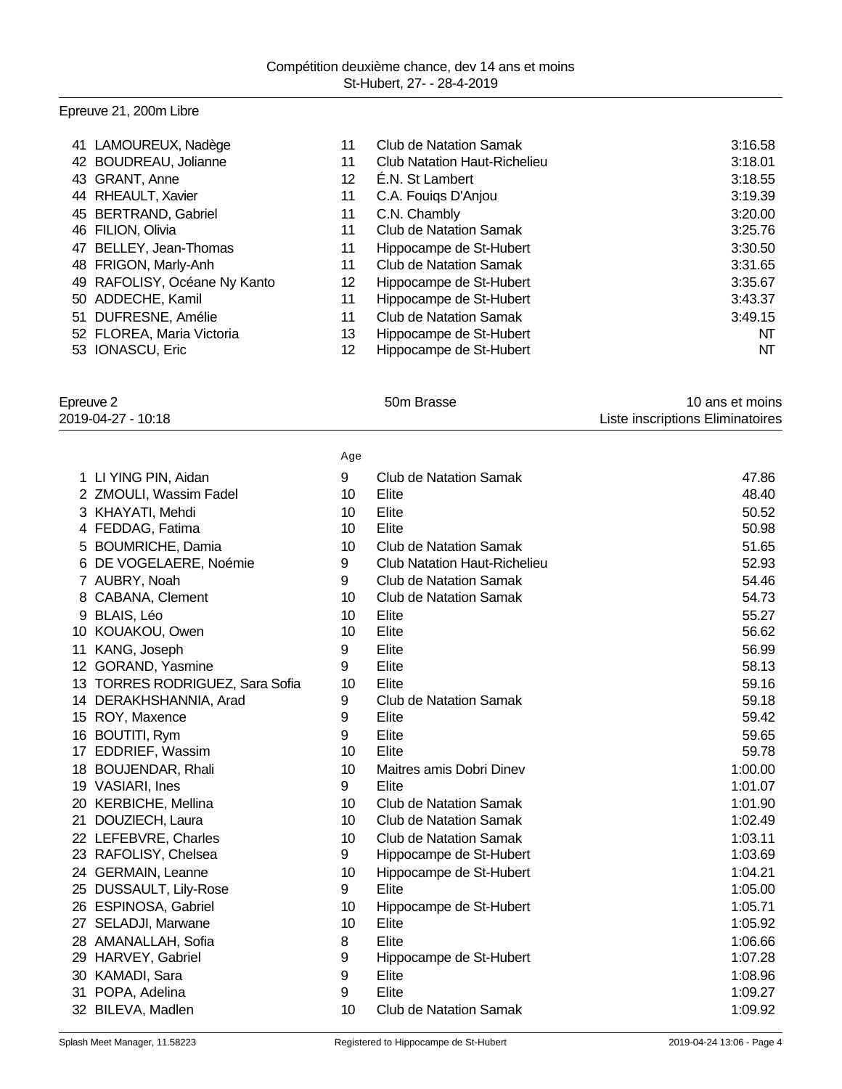# Epreuve 21, 200m Libre

| 41 LAMOUREUX, Nadège         | 11 | Club de Natation Samak              | 3:16.58 |
|------------------------------|----|-------------------------------------|---------|
| 42 BOUDREAU, Jolianne        | 11 | <b>Club Natation Haut-Richelieu</b> | 3:18.01 |
| 43 GRANT, Anne               | 12 | É.N. St Lambert                     | 3:18.55 |
| 44 RHEAULT, Xavier           | 11 | C.A. Fouigs D'Anjou                 | 3:19.39 |
| 45 BERTRAND, Gabriel         | 11 | C.N. Chambly                        | 3:20.00 |
| 46 FILION, Olivia            | 11 | <b>Club de Natation Samak</b>       | 3:25.76 |
| 47 BELLEY, Jean-Thomas       | 11 | Hippocampe de St-Hubert             | 3:30.50 |
| 48 FRIGON, Marly-Anh         | 11 | Club de Natation Samak              | 3:31.65 |
| 49 RAFOLISY, Océane Ny Kanto | 12 | Hippocampe de St-Hubert             | 3:35.67 |
| 50 ADDECHE, Kamil            | 11 | Hippocampe de St-Hubert             | 3:43.37 |
| 51 DUFRESNE, Amélie          | 11 | <b>Club de Natation Samak</b>       | 3:49.15 |
| 52 FLOREA, Maria Victoria    | 13 | Hippocampe de St-Hubert             | NT      |
| 53 IONASCU, Eric             | 12 | Hippocampe de St-Hubert             | NT      |

| Epreuve 2          | 50m Brasse | 10 ans et moins                  |
|--------------------|------------|----------------------------------|
| 2019-04-27 - 10:18 |            | Liste inscriptions Eliminatoires |
|                    |            |                                  |

|                                 | Age |                                     |         |
|---------------------------------|-----|-------------------------------------|---------|
| 1 LI YING PIN, Aidan            | 9   | <b>Club de Natation Samak</b>       | 47.86   |
| 2 ZMOULI, Wassim Fadel          | 10  | Elite                               | 48.40   |
| 3 KHAYATI, Mehdi                | 10  | Elite                               | 50.52   |
| 4 FEDDAG, Fatima                | 10  | Elite                               | 50.98   |
| 5 BOUMRICHE, Damia              | 10  | <b>Club de Natation Samak</b>       | 51.65   |
| 6 DE VOGELAERE, Noémie          | 9   | <b>Club Natation Haut-Richelieu</b> | 52.93   |
| 7 AUBRY, Noah                   | 9   | <b>Club de Natation Samak</b>       | 54.46   |
| 8 CABANA, Clement               | 10  | <b>Club de Natation Samak</b>       | 54.73   |
| 9 BLAIS, Léo                    | 10  | Elite                               | 55.27   |
| 10 KOUAKOU, Owen                | 10  | Elite                               | 56.62   |
| 11 KANG, Joseph                 | 9   | Elite                               | 56.99   |
| 12 GORAND, Yasmine              | 9   | Elite                               | 58.13   |
| 13 TORRES RODRIGUEZ, Sara Sofia | 10  | Elite                               | 59.16   |
| 14 DERAKHSHANNIA, Arad          | 9   | <b>Club de Natation Samak</b>       | 59.18   |
| 15 ROY, Maxence                 | 9   | Elite                               | 59.42   |
| 16 BOUTITI, Rym                 | 9   | Elite                               | 59.65   |
| 17 EDDRIEF, Wassim              | 10  | Elite                               | 59.78   |
| 18 BOUJENDAR, Rhali             | 10  | Maitres amis Dobri Dinev            | 1:00.00 |
| 19 VASIARI, Ines                | 9   | Elite                               | 1:01.07 |
| 20 KERBICHE, Mellina            | 10  | <b>Club de Natation Samak</b>       | 1:01.90 |
| 21 DOUZIECH, Laura              | 10  | <b>Club de Natation Samak</b>       | 1:02.49 |
| 22 LEFEBVRE, Charles            | 10  | <b>Club de Natation Samak</b>       | 1:03.11 |
| 23 RAFOLISY, Chelsea            | 9   | Hippocampe de St-Hubert             | 1:03.69 |
| 24 GERMAIN, Leanne              | 10  | Hippocampe de St-Hubert             | 1:04.21 |
| 25 DUSSAULT, Lily-Rose          | 9   | Elite                               | 1:05.00 |
| 26 ESPINOSA, Gabriel            | 10  | Hippocampe de St-Hubert             | 1:05.71 |
| 27 SELADJI, Marwane             | 10  | Elite                               | 1:05.92 |
| 28 AMANALLAH, Sofia             | 8   | Elite                               | 1:06.66 |
| 29 HARVEY, Gabriel              | 9   | Hippocampe de St-Hubert             | 1:07.28 |
| 30 KAMADI, Sara                 | 9   | Elite                               | 1:08.96 |
| 31 POPA, Adelina                | 9   | Elite                               | 1:09.27 |
| 32 BILEVA, Madlen               | 10  | <b>Club de Natation Samak</b>       | 1:09.92 |
|                                 |     |                                     |         |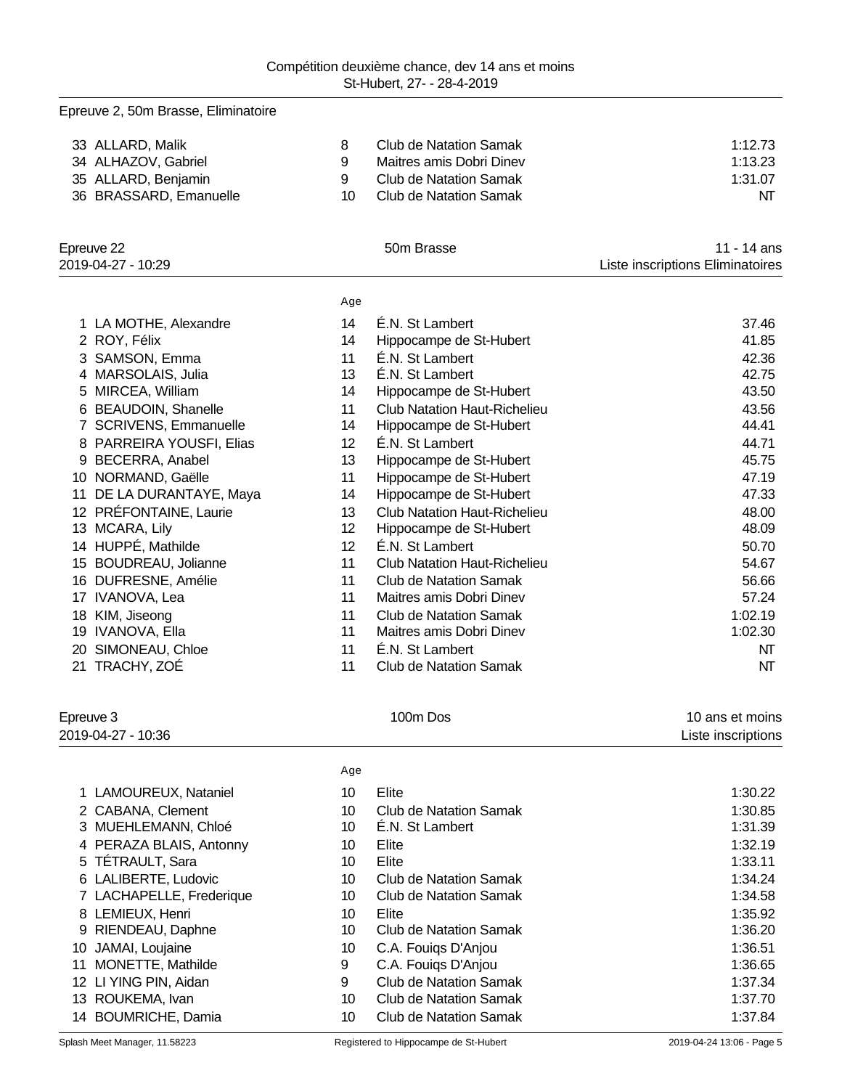| Epreuve 2, 50m Brasse, Eliminatoire |     |                                     |                                  |
|-------------------------------------|-----|-------------------------------------|----------------------------------|
| 33 ALLARD, Malik                    | 8   | <b>Club de Natation Samak</b>       | 1:12.73                          |
| 34 ALHAZOV, Gabriel                 | 9   | Maitres amis Dobri Dinev            | 1:13.23                          |
| 35 ALLARD, Benjamin                 | 9   | <b>Club de Natation Samak</b>       | 1:31.07                          |
| 36 BRASSARD, Emanuelle              | 10  | <b>Club de Natation Samak</b>       | NΤ                               |
| Epreuve 22                          |     | 50m Brasse                          | 11 - 14 ans                      |
| 2019-04-27 - 10:29                  |     |                                     | Liste inscriptions Eliminatoires |
|                                     | Age |                                     |                                  |
| 1 LA MOTHE, Alexandre               | 14  | É.N. St Lambert                     | 37.46                            |
| 2 ROY, Félix                        | 14  | Hippocampe de St-Hubert             | 41.85                            |
| 3 SAMSON, Emma                      | 11  | É.N. St Lambert                     | 42.36                            |
| 4 MARSOLAIS, Julia                  | 13  | É.N. St Lambert                     | 42.75                            |
| 5 MIRCEA, William                   | 14  | Hippocampe de St-Hubert             | 43.50                            |
| 6 BEAUDOIN, Shanelle                | 11  | <b>Club Natation Haut-Richelieu</b> | 43.56                            |
| 7 SCRIVENS, Emmanuelle              | 14  | Hippocampe de St-Hubert             | 44.41                            |
| 8 PARREIRA YOUSFI, Elias            | 12  | É.N. St Lambert                     | 44.71                            |
| 9 BECERRA, Anabel                   | 13  | Hippocampe de St-Hubert             | 45.75                            |
| 10 NORMAND, Gaëlle                  | 11  | Hippocampe de St-Hubert             | 47.19                            |
| 11 DE LA DURANTAYE, Maya            | 14  | Hippocampe de St-Hubert             | 47.33                            |
| 12 PRÉFONTAINE, Laurie              | 13  | <b>Club Natation Haut-Richelieu</b> | 48.00                            |
| 13 MCARA, Lily                      | 12  | Hippocampe de St-Hubert             | 48.09                            |
| 14 HUPPÉ, Mathilde                  | 12  | É.N. St Lambert                     | 50.70                            |
| 15 BOUDREAU, Jolianne               | 11  | <b>Club Natation Haut-Richelieu</b> | 54.67                            |
| 16 DUFRESNE, Amélie                 | 11  | <b>Club de Natation Samak</b>       | 56.66                            |
| 17 IVANOVA, Lea                     | 11  | Maitres amis Dobri Dinev            | 57.24                            |
| 18 KIM, Jiseong                     | 11  | <b>Club de Natation Samak</b>       | 1:02.19                          |
| 19 IVANOVA, Ella                    | 11  | Maitres amis Dobri Dinev            | 1:02.30                          |
| 20 SIMONEAU, Chloe                  | 11  | É.N. St Lambert                     | NT                               |
| 21 TRACHY, ZOÉ                      | 11  | <b>Club de Natation Samak</b>       | NT                               |
| Epreuve 3                           |     | 100m Dos                            | 10 ans et moins                  |
| 2019-04-27 - 10:36                  |     |                                     | Liste inscriptions               |
|                                     | Age |                                     |                                  |
| 1 LAMOUREUX, Nataniel               | 10  | Elite                               | 1:30.22                          |
| 2 CABANA, Clement                   | 10  | <b>Club de Natation Samak</b>       | 1:30.85                          |
| 3 MUEHLEMANN, Chloé                 | 10  | É.N. St Lambert                     | 1:31.39                          |
| 4 PERAZA BLAIS, Antonny             | 10  | Elite                               | 1:32.19                          |
| 5 TÉTRAULT, Sara                    | 10  | Elite                               | 1:33.11                          |
| 6 LALIBERTE, Ludovic                | 10  | <b>Club de Natation Samak</b>       | 1:34.24                          |
| 7 LACHAPELLE, Frederique            | 10  | <b>Club de Natation Samak</b>       | 1:34.58                          |
| 8 LEMIEUX, Henri                    | 10  | Elite                               | 1:35.92                          |
| 9 RIENDEAU, Daphne                  | 10  | Club de Natation Samak              | 1:36.20                          |

- 10 JAMAI, Loujaine 1:36.51<br>11 MONETTE, Mathilde 1:36.65<br>11 MONETTE, Mathilde 1:36.65 11 MONETTE, Mathilde 1:36.65
- 12 LI YING PIN, Aidan 1:37.34
- 13 ROUKEMA, Ivan 10 Club de Natation Samak 1:37.70
- 14 BOUMRICHE, Damia 10 Club de Natation Samak 1:37.84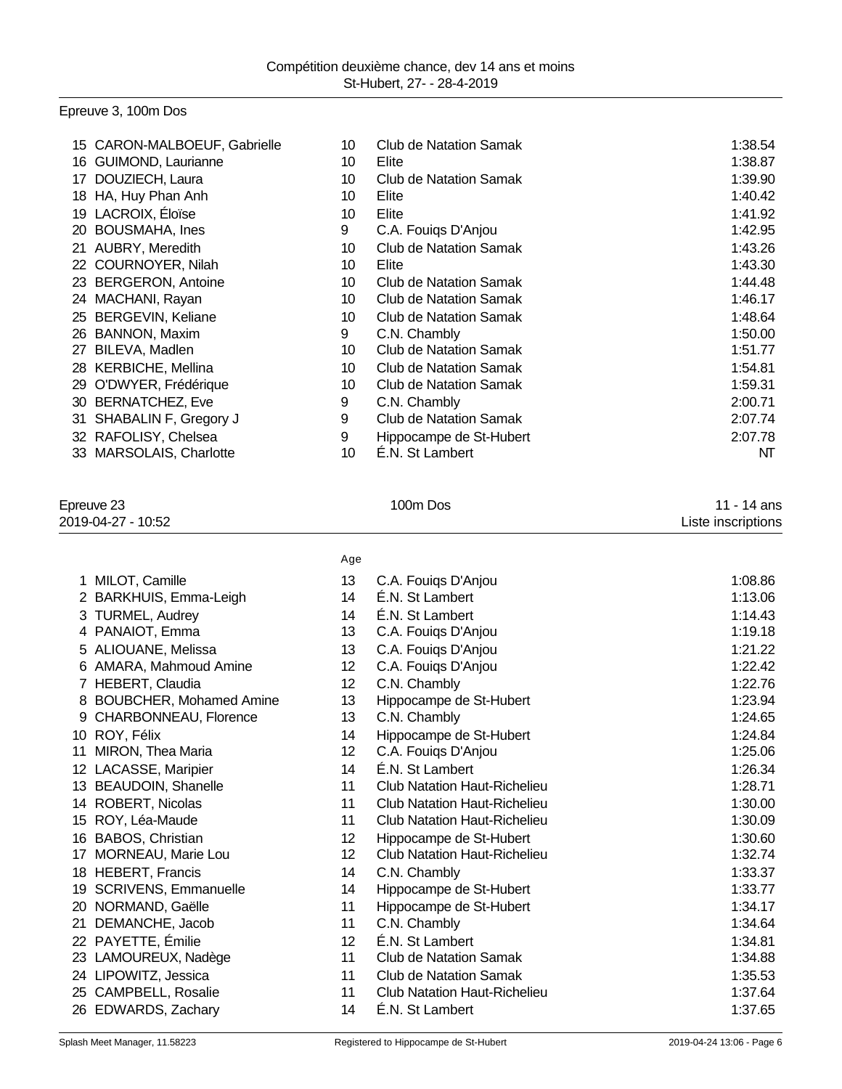# Epreuve 3, 100m Dos

|    | 15 CARON-MALBOEUF, Gabrielle | 10 | <b>Club de Natation Samak</b> | 1:38.54 |
|----|------------------------------|----|-------------------------------|---------|
|    | 16 GUIMOND, Laurianne        | 10 | Elite                         | 1:38.87 |
| 17 | DOUZIECH, Laura              | 10 | Club de Natation Samak        | 1:39.90 |
|    | 18 HA, Huy Phan Anh          | 10 | Elite                         | 1:40.42 |
|    | 19 LACROIX, Éloïse           | 10 | Elite                         | 1:41.92 |
|    | 20 BOUSMAHA, Ines            | 9  | C.A. Fouiqs D'Anjou           | 1:42.95 |
| 21 | AUBRY, Meredith              | 10 | Club de Natation Samak        | 1:43.26 |
|    | 22 COURNOYER, Nilah          | 10 | Elite                         | 1:43.30 |
|    | 23 BERGERON, Antoine         | 10 | Club de Natation Samak        | 1:44.48 |
|    | 24 MACHANI, Rayan            | 10 | Club de Natation Samak        | 1:46.17 |
|    | 25 BERGEVIN, Keliane         | 10 | <b>Club de Natation Samak</b> | 1:48.64 |
|    | 26 BANNON, Maxim             | 9  | C.N. Chambly                  | 1:50.00 |
| 27 | BILEVA, Madlen               | 10 | <b>Club de Natation Samak</b> | 1:51.77 |
|    | 28 KERBICHE, Mellina         | 10 | Club de Natation Samak        | 1:54.81 |
|    | 29 O'DWYER, Frédérique       | 10 | <b>Club de Natation Samak</b> | 1:59.31 |
|    | 30 BERNATCHEZ, Eve           | 9  | C.N. Chambly                  | 2:00.71 |
| 31 | SHABALIN F, Gregory J        | 9  | <b>Club de Natation Samak</b> | 2:07.74 |
|    | 32 RAFOLISY, Chelsea         | 9  | Hippocampe de St-Hubert       | 2:07.78 |
|    | 33 MARSOLAIS, Charlotte      | 10 | E.N. St Lambert               | NT      |

### Epreuve 23 100m Dos 11 - 14 ans 2019-04-27 - 10:52 Liste inscriptions

|                  |                           | Age |                                     |         |
|------------------|---------------------------|-----|-------------------------------------|---------|
|                  | 1 MILOT, Camille          | 13  | C.A. Fouigs D'Anjou                 | 1:08.86 |
|                  | 2 BARKHUIS, Emma-Leigh    | 14  | É.N. St Lambert                     | 1:13.06 |
|                  | 3 TURMEL, Audrey          | 14  | E.N. St Lambert                     | 1:14.43 |
|                  | 4 PANAIOT, Emma           | 13  | C.A. Fouiqs D'Anjou                 | 1:19.18 |
|                  | 5 ALIOUANE, Melissa       | 13  | C.A. Fouigs D'Anjou                 | 1:21.22 |
|                  | 6 AMARA, Mahmoud Amine    | 12  | C.A. Fouiqs D'Anjou                 | 1:22.42 |
| 7                | HEBERT, Claudia           | 12  | C.N. Chambly                        | 1:22.76 |
|                  | 8 BOUBCHER, Mohamed Amine | 13  | Hippocampe de St-Hubert             | 1:23.94 |
| 9                | CHARBONNEAU, Florence     | 13  | C.N. Chambly                        | 1:24.65 |
| 10               | ROY, Félix                | 14  | Hippocampe de St-Hubert             | 1:24.84 |
| 11               | MIRON, Thea Maria         | 12  | C.A. Fouigs D'Anjou                 | 1:25.06 |
| 12 <sup>12</sup> | LACASSE, Maripier         | 14  | É.N. St Lambert                     | 1:26.34 |
| 13               | <b>BEAUDOIN, Shanelle</b> | 11  | <b>Club Natation Haut-Richelieu</b> | 1:28.71 |
| 14               | ROBERT, Nicolas           | 11  | <b>Club Natation Haut-Richelieu</b> | 1:30.00 |
| 15               | ROY, Léa-Maude            | 11  | <b>Club Natation Haut-Richelieu</b> | 1:30.09 |
| 16               | BABOS, Christian          | 12  | Hippocampe de St-Hubert             | 1:30.60 |
| 17               | MORNEAU, Marie Lou        | 12  | <b>Club Natation Haut-Richelieu</b> | 1:32.74 |
|                  | 18 HEBERT, Francis        | 14  | C.N. Chambly                        | 1:33.37 |
| 19               | SCRIVENS, Emmanuelle      | 14  | Hippocampe de St-Hubert             | 1:33.77 |
| 20               | NORMAND, Gaëlle           | 11  | Hippocampe de St-Hubert             | 1:34.17 |
| 21               | DEMANCHE, Jacob           | 11  | C.N. Chambly                        | 1:34.64 |
| 22               | PAYETTE, Émilie           | 12  | É.N. St Lambert                     | 1:34.81 |
|                  | 23 LAMOUREUX, Nadège      | 11  | <b>Club de Natation Samak</b>       | 1:34.88 |
|                  | 24 LIPOWITZ, Jessica      | 11  | <b>Club de Natation Samak</b>       | 1:35.53 |
| 25               | CAMPBELL, Rosalie         | 11  | <b>Club Natation Haut-Richelieu</b> | 1:37.64 |
|                  | 26 EDWARDS, Zachary       | 14  | É.N. St Lambert                     | 1:37.65 |
|                  |                           |     |                                     |         |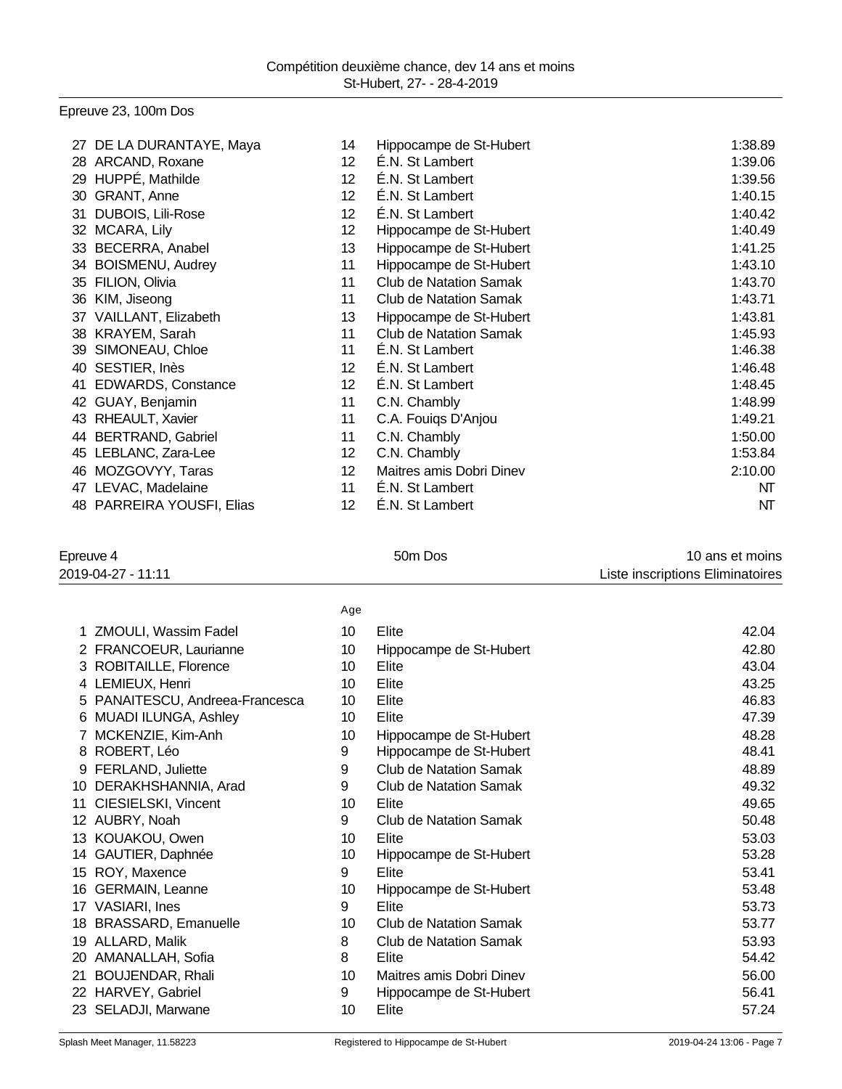# Epreuve 23, 100m Dos

| 27 | DE LA DURANTAYE, Maya     | 14              | Hippocampe de St-Hubert       | 1:38.89 |
|----|---------------------------|-----------------|-------------------------------|---------|
|    | 28 ARCAND, Roxane         | 12              | É.N. St Lambert               | 1:39.06 |
| 29 | HUPPÉ, Mathilde           | 12              | É.N. St Lambert               | 1:39.56 |
| 30 | GRANT, Anne               | 12              | É.N. St Lambert               | 1:40.15 |
| 31 | DUBOIS, Lili-Rose         | 12              | É.N. St Lambert               | 1:40.42 |
| 32 | MCARA, Lily               | 12              | Hippocampe de St-Hubert       | 1:40.49 |
| 33 | <b>BECERRA, Anabel</b>    | 13              | Hippocampe de St-Hubert       | 1:41.25 |
| 34 | <b>BOISMENU, Audrey</b>   | 11              | Hippocampe de St-Hubert       | 1:43.10 |
| 35 | FILION, Olivia            | 11              | <b>Club de Natation Samak</b> | 1:43.70 |
| 36 | KIM, Jiseong              | 11              | <b>Club de Natation Samak</b> | 1:43.71 |
| 37 | VAILLANT, Elizabeth       | 13              | Hippocampe de St-Hubert       | 1:43.81 |
|    | 38 KRAYEM, Sarah          | 11              | <b>Club de Natation Samak</b> | 1:45.93 |
| 39 | SIMONEAU, Chloe           | 11              | É.N. St Lambert               | 1:46.38 |
| 40 | SESTIER, Inès             | 12              | É.N. St Lambert               | 1:46.48 |
| 41 | <b>EDWARDS, Constance</b> | 12 <sup>2</sup> | É.N. St Lambert               | 1:48.45 |
| 42 | GUAY, Benjamin            | 11              | C.N. Chambly                  | 1:48.99 |
| 43 | RHEAULT, Xavier           | 11              | C.A. Fouiqs D'Anjou           | 1:49.21 |
|    | 44 BERTRAND, Gabriel      | 11              | C.N. Chambly                  | 1:50.00 |
| 45 | LEBLANC, Zara-Lee         | 12              | C.N. Chambly                  | 1:53.84 |
| 46 | MOZGOVYY, Taras           | 12              | Maitres amis Dobri Dinev      | 2:10.00 |
| 47 | LEVAC, Madelaine          | 11              | É.N. St Lambert               | NT      |
|    | 48 PARREIRA YOUSFI, Elias | 12              | É.N. St Lambert               | NΤ      |

| Epreuve 4          | 50 <sub>m</sub> Dos | 10 ans et moins                  |
|--------------------|---------------------|----------------------------------|
| 2019-04-27 - 11:11 |                     | Liste inscriptions Eliminatoires |

|                                  | 10 ans et moins |
|----------------------------------|-----------------|
| Liste inscriptions Eliminatoires |                 |

|    |                                 | Age |                               |       |
|----|---------------------------------|-----|-------------------------------|-------|
| 1  | ZMOULI, Wassim Fadel            | 10  | Elite                         | 42.04 |
|    | 2 FRANCOEUR, Laurianne          | 10  | Hippocampe de St-Hubert       | 42.80 |
|    | 3 ROBITAILLE, Florence          | 10  | Elite                         | 43.04 |
|    | 4 LEMIEUX, Henri                | 10  | Elite                         | 43.25 |
|    | 5 PANAITESCU, Andreea-Francesca | 10  | Elite                         | 46.83 |
|    | 6 MUADI ILUNGA, Ashley          | 10  | Elite                         | 47.39 |
| 7  | MCKENZIE, Kim-Anh               | 10  | Hippocampe de St-Hubert       | 48.28 |
|    | 8 ROBERT, Léo                   | 9   | Hippocampe de St-Hubert       | 48.41 |
|    | 9 FERLAND, Juliette             | 9   | <b>Club de Natation Samak</b> | 48.89 |
|    | 10 DERAKHSHANNIA, Arad          | 9   | <b>Club de Natation Samak</b> | 49.32 |
|    | 11 CIESIELSKI, Vincent          | 10  | Elite                         | 49.65 |
|    | 12 AUBRY, Noah                  | 9   | Club de Natation Samak        | 50.48 |
|    | 13 KOUAKOU, Owen                | 10  | Elite                         | 53.03 |
|    | 14 GAUTIER, Daphnée             | 10  | Hippocampe de St-Hubert       | 53.28 |
|    | 15 ROY, Maxence                 | 9   | Elite                         | 53.41 |
|    | 16 GERMAIN, Leanne              | 10  | Hippocampe de St-Hubert       | 53.48 |
| 17 | <b>VASIARI, Ines</b>            | 9   | Elite                         | 53.73 |
| 18 | <b>BRASSARD, Emanuelle</b>      | 10  | Club de Natation Samak        | 53.77 |
| 19 | ALLARD, Malik                   | 8   | Club de Natation Samak        | 53.93 |
|    | 20 AMANALLAH, Sofia             | 8   | Elite                         | 54.42 |
| 21 | <b>BOUJENDAR, Rhali</b>         | 10  | Maitres amis Dobri Dinev      | 56.00 |
|    | 22 HARVEY, Gabriel              | 9   | Hippocampe de St-Hubert       | 56.41 |
|    | 23 SELADJI, Marwane             | 10  | Elite                         | 57.24 |
|    |                                 |     |                               |       |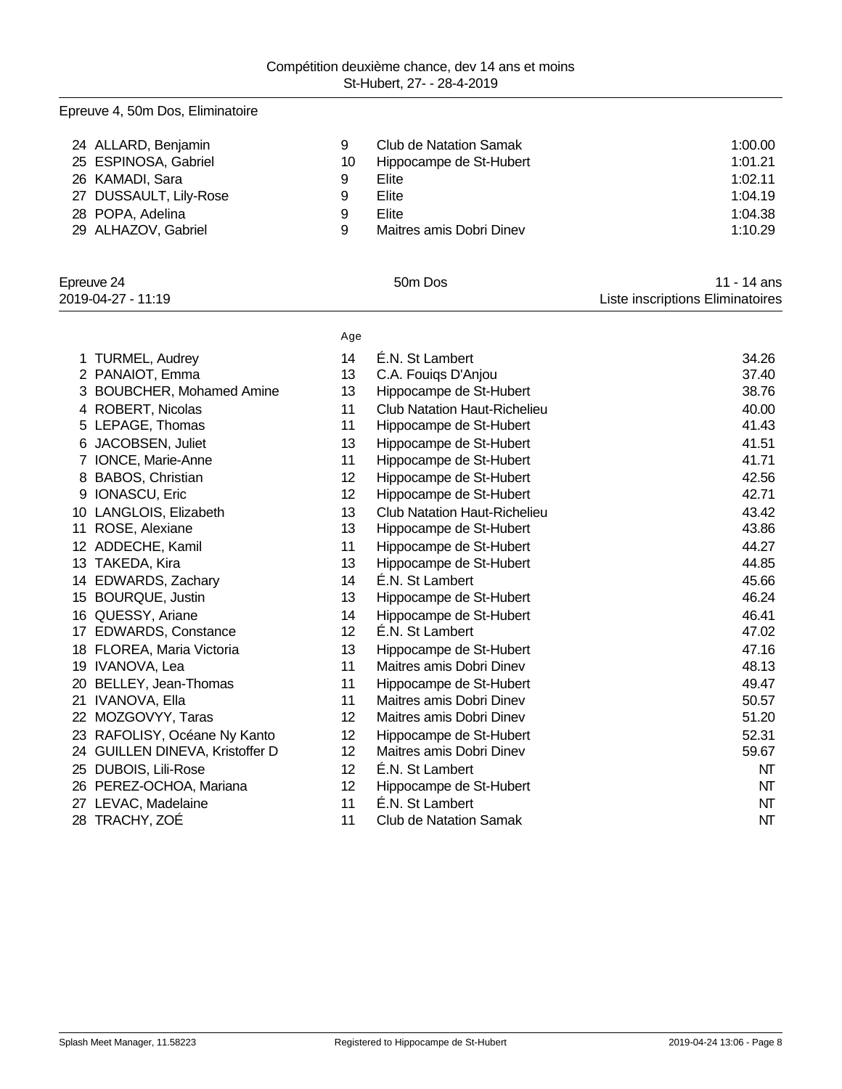ALLARD, Benjamin 9 Club de Natation Samak 1:00.00

# 25 ESPINOSA, Gabriel 1:01.21 26 KAMADI, Sara 1:02.11 27 DUSSAULT, Lily-Rose 9 Elite 1:04.19 28 POPA, Adelina 1:04.38 29 ALHAZOV, Gabriel 29 Maitres amis Dobri Dinev 29 ALHAZOV, Gabriel 29 Maitres amis Dobri Dinev Epreuve 24 50m Dos 11 - 14 ans 2019-04-27 - 11:19 Liste inscriptions Eliminatoires Age 1 TURMEL, Audrey 14 E.N. St Lambert 14 E.N. St Lambert 34.26 PANAIOT, Emma 13 C.A. Fouiqs D'Anjou 37.40

| 3 BOUBCHER, Mohamed Amine       | 13              | Hippocampe de St-Hubert             | 38.76 |
|---------------------------------|-----------------|-------------------------------------|-------|
| 4 ROBERT, Nicolas               | 11              | <b>Club Natation Haut-Richelieu</b> | 40.00 |
| 5 LEPAGE, Thomas                | 11              | Hippocampe de St-Hubert             | 41.43 |
| 6 JACOBSEN, Juliet              | 13              | Hippocampe de St-Hubert             | 41.51 |
| 7 IONCE, Marie-Anne             | 11              | Hippocampe de St-Hubert             | 41.71 |
| 8 BABOS, Christian              | 12              | Hippocampe de St-Hubert             | 42.56 |
| 9 IONASCU, Eric                 | 12              | Hippocampe de St-Hubert             | 42.71 |
| 10 LANGLOIS, Elizabeth          | 13              | <b>Club Natation Haut-Richelieu</b> | 43.42 |
| 11 ROSE, Alexiane               | 13              | Hippocampe de St-Hubert             | 43.86 |
| 12 ADDECHE, Kamil               | 11              | Hippocampe de St-Hubert             | 44.27 |
| 13 TAKEDA, Kira                 | 13              | Hippocampe de St-Hubert             | 44.85 |
| 14 EDWARDS, Zachary             | 14              | É.N. St Lambert                     | 45.66 |
| 15 BOURQUE, Justin              | 13              | Hippocampe de St-Hubert             | 46.24 |
| 16 QUESSY, Ariane               | 14              | Hippocampe de St-Hubert             | 46.41 |
| 17 EDWARDS, Constance           | 12 <sup>°</sup> | É.N. St Lambert                     | 47.02 |
| 18 FLOREA, Maria Victoria       | 13              | Hippocampe de St-Hubert             | 47.16 |
| 19 IVANOVA, Lea                 | 11              | Maitres amis Dobri Dinev            | 48.13 |
| 20 BELLEY, Jean-Thomas          | 11              | Hippocampe de St-Hubert             | 49.47 |
| 21 IVANOVA, Ella                | 11              | Maitres amis Dobri Dinev            | 50.57 |
| 22 MOZGOVYY, Taras              | 12              | Maitres amis Dobri Dinev            | 51.20 |
| 23 RAFOLISY, Océane Ny Kanto    | 12              | Hippocampe de St-Hubert             | 52.31 |
| 24 GUILLEN DINEVA, Kristoffer D | 12              | Maitres amis Dobri Dinev            | 59.67 |
| 25 DUBOIS, Lili-Rose            | 12 <sub>2</sub> | É.N. St Lambert                     | NΤ    |
| 26 PEREZ-OCHOA, Mariana         | 12 <sub>2</sub> | Hippocampe de St-Hubert             | NΤ    |
| 27 LEVAC, Madelaine             | 11              | É.N. St Lambert                     | NT    |
| 28 TRACHY, ZOÉ                  | 11              | Club de Natation Samak              | NΤ    |

Epreuve 4, 50m Dos, Eliminatoire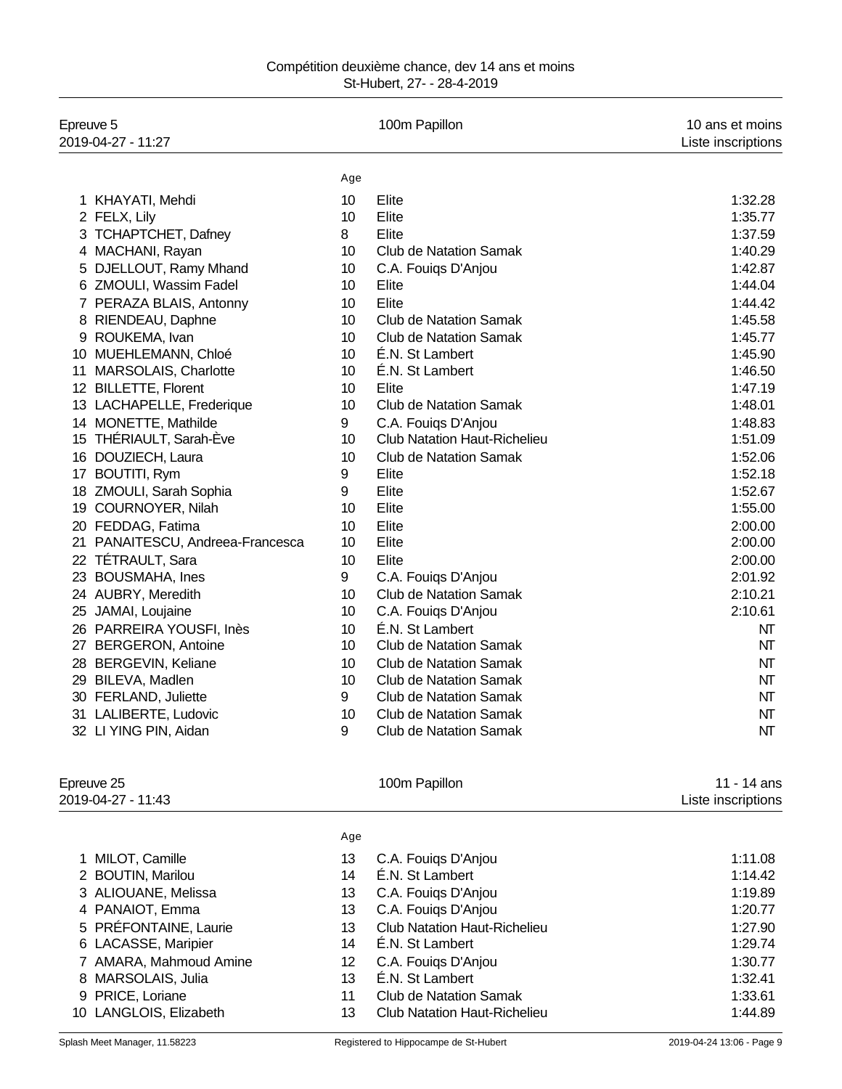| Epreuve 5<br>2019-04-27 - 11:27  |     | 100m Papillon                       | 10 ans et moins<br>Liste inscriptions |
|----------------------------------|-----|-------------------------------------|---------------------------------------|
|                                  | Age |                                     |                                       |
| 1 KHAYATI, Mehdi                 | 10  | Elite                               | 1:32.28                               |
| 2 FELX, Lily                     | 10  | Elite                               | 1:35.77                               |
| <b>TCHAPTCHET, Dafney</b><br>3   | 8   | Elite                               | 1:37.59                               |
| 4 MACHANI, Rayan                 | 10  | <b>Club de Natation Samak</b>       | 1:40.29                               |
| DJELLOUT, Ramy Mhand<br>5        | 10  | C.A. Fouiqs D'Anjou                 | 1:42.87                               |
| 6 ZMOULI, Wassim Fadel           | 10  | Elite                               | 1:44.04                               |
| 7 PERAZA BLAIS, Antonny          | 10  | Elite                               | 1:44.42                               |
| RIENDEAU, Daphne<br>8            | 10  | Club de Natation Samak              | 1:45.58                               |
| ROUKEMA, Ivan<br>9               | 10  | <b>Club de Natation Samak</b>       | 1:45.77                               |
| MUEHLEMANN, Chloé<br>10          | 10  | É.N. St Lambert                     | 1:45.90                               |
| MARSOLAIS, Charlotte<br>11       | 10  | E.N. St Lambert                     | 1:46.50                               |
| <b>BILLETTE, Florent</b><br>12   | 10  | Elite                               | 1:47.19                               |
| 13 LACHAPELLE, Frederique        | 10  | <b>Club de Natation Samak</b>       | 1:48.01                               |
| 14 MONETTE, Mathilde             | 9   | C.A. Fouiqs D'Anjou                 | 1:48.83                               |
| 15 THÉRIAULT, Sarah-Éve          | 10  | <b>Club Natation Haut-Richelieu</b> | 1:51.09                               |
| DOUZIECH, Laura<br>16            | 10  | <b>Club de Natation Samak</b>       | 1:52.06                               |
| <b>BOUTITI, Rym</b><br>17        | 9   | Elite                               | 1:52.18                               |
| 18 ZMOULI, Sarah Sophia          | 9   | Elite                               | 1:52.67                               |
| 19 COURNOYER, Nilah              | 10  | Elite                               | 1:55.00                               |
| 20 FEDDAG, Fatima                | 10  | Elite                               | 2:00.00                               |
| 21 PANAITESCU, Andreea-Francesca | 10  | Elite                               | 2:00.00                               |
| <b>TÉTRAULT, Sara</b><br>22      | 10  | Elite                               | 2:00.00                               |
| 23<br><b>BOUSMAHA, Ines</b>      | 9   | C.A. Fouiqs D'Anjou                 | 2:01.92                               |
| 24 AUBRY, Meredith               | 10  | <b>Club de Natation Samak</b>       | 2:10.21                               |
| 25<br>JAMAI, Loujaine            | 10  | C.A. Fouiqs D'Anjou                 | 2:10.61                               |
| 26 PARREIRA YOUSFI, Inès         | 10  | É.N. St Lambert                     | NT                                    |
| <b>BERGERON, Antoine</b><br>27   | 10  | <b>Club de Natation Samak</b>       | NΤ                                    |
| 28 BERGEVIN, Keliane             | 10  | <b>Club de Natation Samak</b>       | NT                                    |
| 29 BILEVA, Madlen                | 10  | <b>Club de Natation Samak</b>       | NΤ                                    |
| 30<br><b>FERLAND, Juliette</b>   | 9   | <b>Club de Natation Samak</b>       | NΤ                                    |
| 31 LALIBERTE, Ludovic            | 10  | <b>Club de Natation Samak</b>       | NΤ                                    |
| 32 LI YING PIN, Aidan            | 9   | <b>Club de Natation Samak</b>       | NΤ                                    |
| Epreuve 25<br>2019-04-27 - 11:43 |     | 100m Papillon                       | 11 - 14 ans                           |
|                                  | Age |                                     | Liste inscriptions                    |

| 1 MILOT, Camille<br>2 BOUTIN, Marilou<br>3 ALIOUANE, Melissa<br>4 PANAIOT, Emma<br>5 PRÉFONTAINE, Laurie<br>6 LACASSE, Maripier<br>7 AMARA, Mahmoud Amine<br>8 MARSOLAIS, Julia<br>9 PRICE, Loriane | 13<br>14<br>13<br>13<br>13<br>14<br>12<br>13<br>11 | C.A. Fouigs D'Anjou<br>É.N. St Lambert<br>C.A. Fouigs D'Anjou<br>C.A. Fouigs D'Anjou<br><b>Club Natation Haut-Richelieu</b><br>É.N. St Lambert<br>C.A. Fouigs D'Anjou<br>É.N. St Lambert<br><b>Club de Natation Samak</b> | 1:11.08<br>1:14.42<br>1:19.89<br>1:20.77<br>1:27.90<br>1:29.74<br>1:30.77<br>1:32.41<br>1:33.61 |
|-----------------------------------------------------------------------------------------------------------------------------------------------------------------------------------------------------|----------------------------------------------------|---------------------------------------------------------------------------------------------------------------------------------------------------------------------------------------------------------------------------|-------------------------------------------------------------------------------------------------|
| 10 LANGLOIS, Elizabeth                                                                                                                                                                              | 13                                                 | <b>Club Natation Haut-Richelieu</b>                                                                                                                                                                                       | 1:44.89                                                                                         |
|                                                                                                                                                                                                     |                                                    |                                                                                                                                                                                                                           |                                                                                                 |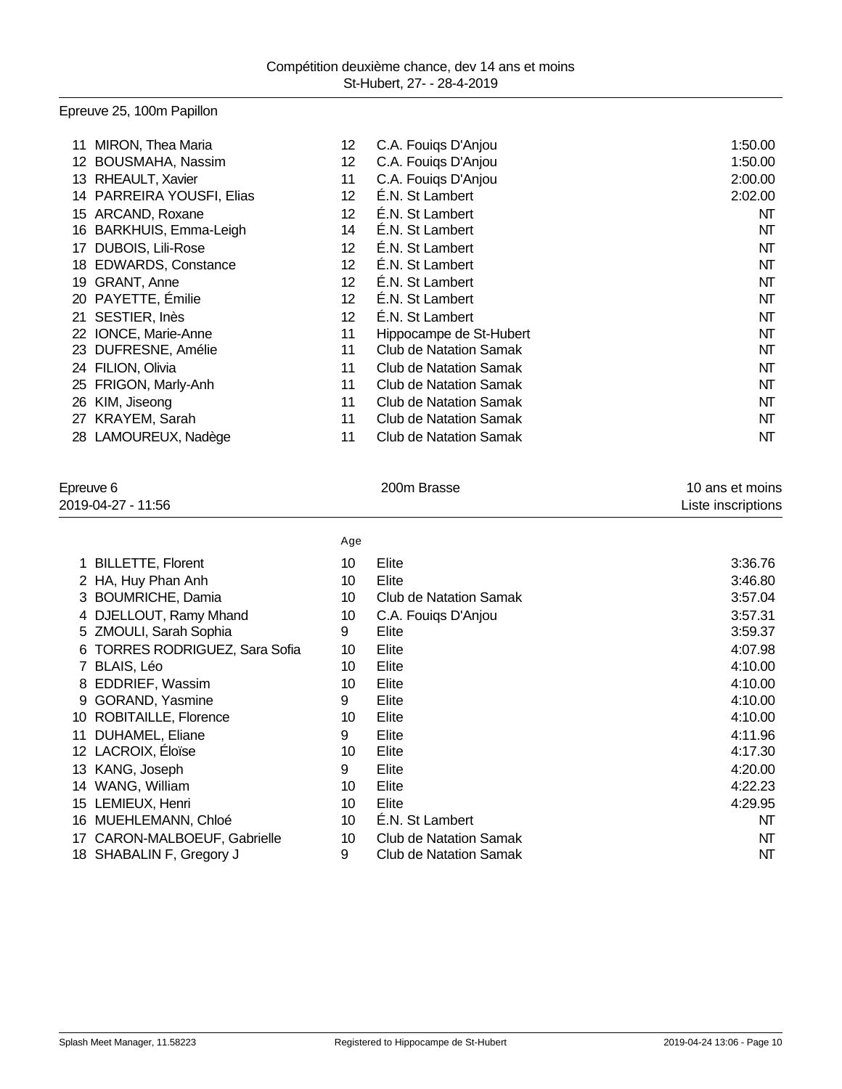# Epreuve 25, 100m Papillon

| 11  | MIRON, Thea Maria             | 12 | C.A. Fouigs D'Anjou     | 1:50.00 |
|-----|-------------------------------|----|-------------------------|---------|
| 12. | <b>BOUSMAHA, Nassim</b>       | 12 | C.A. Fouigs D'Anjou     | 1:50.00 |
| 13. | <b>RHEAULT, Xavier</b>        | 11 | C.A. Fouigs D'Anjou     | 2:00.00 |
| 14  | <b>PARREIRA YOUSFI, Elias</b> | 12 | E.N. St Lambert         | 2:02.00 |
| 15  | ARCAND, Roxane                | 12 | É.N. St Lambert         | NT      |
| 16  | BARKHUIS, Emma-Leigh          | 14 | É.N. St Lambert         | NT      |
| 17  | <b>DUBOIS, Lili-Rose</b>      | 12 | E.N. St Lambert         | NΤ      |
| 18. | <b>EDWARDS, Constance</b>     | 12 | E.N. St Lambert         | NΤ      |
| 19  | GRANT, Anne                   | 12 | É.N. St Lambert         | NΤ      |
|     | 20 PAYETTE, Émilie            | 12 | E.N. St Lambert         | NΤ      |
| 21  | SESTIER, Inès                 | 12 | E.N. St Lambert         | NΤ      |
| 22  | IONCE, Marie-Anne             | 11 | Hippocampe de St-Hubert | NT      |
| 23  | DUFRESNE, Amélie              | 11 | Club de Natation Samak  | NT      |
| 24  | FILION, Olivia                | 11 | Club de Natation Samak  | NΤ      |
| 25  | FRIGON, Marly-Anh             | 11 | Club de Natation Samak  | NT      |
| 26  | KIM, Jiseong                  | 11 | Club de Natation Samak  | NT      |
| 27  | KRAYEM, Sarah                 | 11 | Club de Natation Samak  | NΤ      |
|     | 28 LAMOUREUX, Nadège          | 11 | Club de Natation Samak  | NT      |

| Epreuve 6          |                                     |     | 200m Brasse                   | 10 ans et moins    |  |
|--------------------|-------------------------------------|-----|-------------------------------|--------------------|--|
| 2019-04-27 - 11:56 |                                     |     |                               | Liste inscriptions |  |
|                    |                                     | Age |                               |                    |  |
| 1                  | <b>BILLETTE, Florent</b>            | 10  | Elite                         | 3:36.76            |  |
|                    | 2 HA, Huy Phan Anh                  | 10  | Elite                         | 3:46.80            |  |
|                    | 3 BOUMRICHE, Damia                  | 10  | <b>Club de Natation Samak</b> | 3:57.04            |  |
|                    | DJELLOUT, Ramy Mhand                | 10  | C.A. Fouigs D'Anjou           | 3:57.31            |  |
|                    | 5 ZMOULI, Sarah Sophia              | 9   | Elite                         | 3:59.37            |  |
| 6                  | <b>TORRES RODRIGUEZ, Sara Sofia</b> | 10  | Elite                         | 4:07.98            |  |
|                    | BLAIS, Léo                          | 10  | Elite                         | 4:10.00            |  |
| 8                  | EDDRIEF, Wassim                     | 10  | Elite                         | 4:10.00            |  |
| 9                  | GORAND, Yasmine                     | 9   | Elite                         | 4:10.00            |  |
| 10                 | ROBITAILLE, Florence                | 10  | Elite                         | 4:10.00            |  |
| 11                 | <b>DUHAMEL, Eliane</b>              | 9   | Elite                         | 4:11.96            |  |
|                    | 12 LACROIX, Éloïse                  | 10  | Elite                         | 4:17.30            |  |
|                    | 13 KANG, Joseph                     | 9   | Elite                         | 4:20.00            |  |
|                    | 14 WANG, William                    | 10  | Elite                         | 4:22.23            |  |
|                    | 15 LEMIEUX, Henri                   | 10  | Elite                         | 4:29.95            |  |
| 16                 | MUEHLEMANN, Chloé                   | 10  | E.N. St Lambert               | NT                 |  |
| 17                 | CARON-MALBOEUF, Gabrielle           | 10  | <b>Club de Natation Samak</b> | NT                 |  |
|                    | 18 SHABALIN F, Gregory J            | 9   | <b>Club de Natation Samak</b> | NΤ                 |  |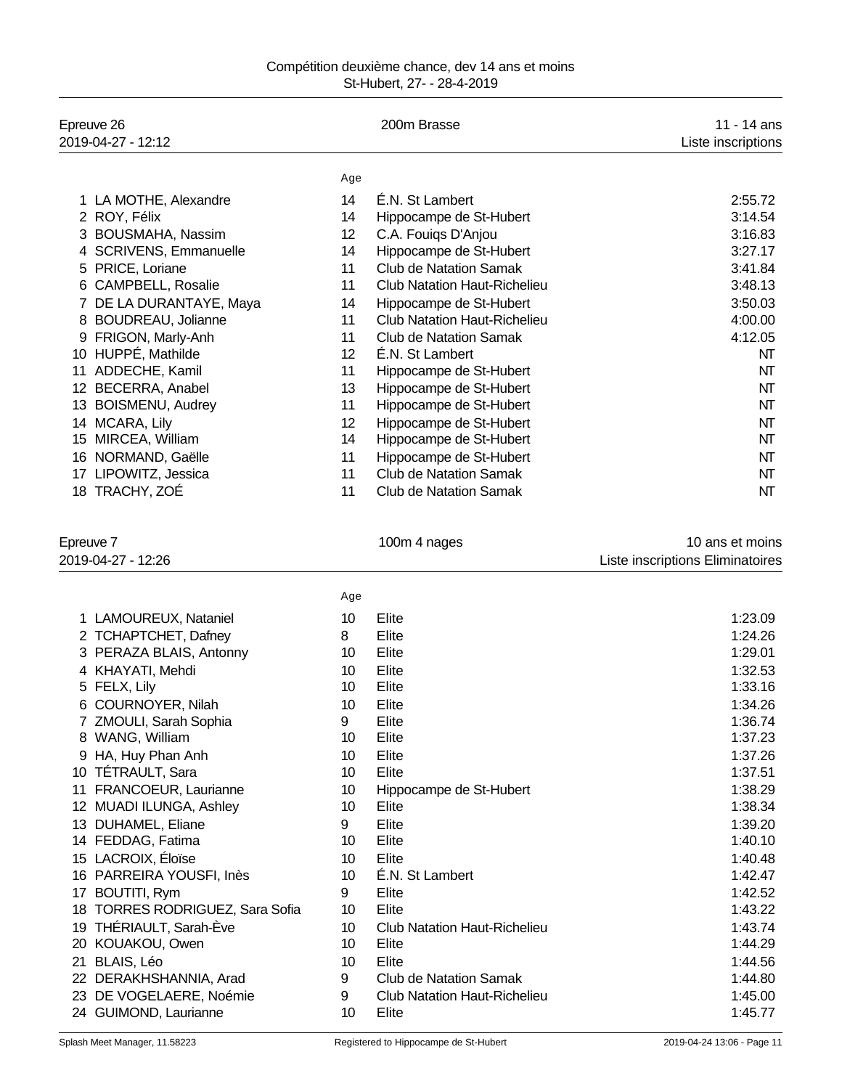| Compétition deuxième chance, dev 14 ans et moins |                            |  |  |
|--------------------------------------------------|----------------------------|--|--|
|                                                  | St-Hubert, 27- - 28-4-2019 |  |  |

|           | Epreuve 26<br>2019-04-27 - 12:12 |     | 200m Brasse                         | 11 - 14 ans<br>Liste inscriptions                   |
|-----------|----------------------------------|-----|-------------------------------------|-----------------------------------------------------|
|           |                                  | Age |                                     |                                                     |
|           | 1 LA MOTHE, Alexandre            | 14  | É.N. St Lambert                     | 2:55.72                                             |
|           | 2 ROY, Félix                     | 14  | Hippocampe de St-Hubert             | 3:14.54                                             |
|           | 3 BOUSMAHA, Nassim               | 12  | C.A. Fouiqs D'Anjou                 | 3:16.83                                             |
|           | 4 SCRIVENS, Emmanuelle           | 14  | Hippocampe de St-Hubert             | 3:27.17                                             |
|           | 5 PRICE, Loriane                 | 11  | <b>Club de Natation Samak</b>       | 3:41.84                                             |
|           | 6 CAMPBELL, Rosalie              | 11  | <b>Club Natation Haut-Richelieu</b> | 3:48.13                                             |
| 7         | DE LA DURANTAYE, Maya            | 14  | Hippocampe de St-Hubert             | 3:50.03                                             |
|           | 8 BOUDREAU, Jolianne             | 11  | <b>Club Natation Haut-Richelieu</b> | 4:00.00                                             |
|           | 9 FRIGON, Marly-Anh              | 11  | <b>Club de Natation Samak</b>       | 4:12.05                                             |
|           | 10 HUPPÉ, Mathilde               | 12  | É.N. St Lambert                     | NΤ                                                  |
|           | 11 ADDECHE, Kamil                | 11  | Hippocampe de St-Hubert             | NΤ                                                  |
|           | 12 BECERRA, Anabel               | 13  | Hippocampe de St-Hubert             | NΤ                                                  |
|           | 13 BOISMENU, Audrey              | 11  | Hippocampe de St-Hubert             | NΤ                                                  |
|           | 14 MCARA, Lily                   | 12  | Hippocampe de St-Hubert             | NΤ                                                  |
|           | 15 MIRCEA, William               | 14  | Hippocampe de St-Hubert             | NΤ                                                  |
|           | 16 NORMAND, Gaëlle               | 11  | Hippocampe de St-Hubert             | NΤ                                                  |
|           | 17 LIPOWITZ, Jessica             | 11  | <b>Club de Natation Samak</b>       | NΤ                                                  |
|           | 18 TRACHY, ZOÉ                   | 11  | <b>Club de Natation Samak</b>       | NΤ                                                  |
| Epreuve 7 | 2019-04-27 - 12:26               |     | 100m 4 nages                        | 10 ans et moins<br>Liste inscriptions Eliminatoires |
|           |                                  | Age |                                     |                                                     |
|           | 1 LAMOUREUX, Nataniel            | 10  | Elite                               | 1:23.09                                             |
|           | 2 TCHAPTCHET, Dafney             | 8   | Elite                               | 1:24.26                                             |
|           | 3 PERAZA BLAIS, Antonny          | 10  | Elite                               | 1:29.01                                             |
|           | 4 KHAYATI, Mehdi                 | 10  | Elite                               | 1:32.53                                             |
|           | 5 FELX, Lily                     | 10  | Elite                               | 1:33.16                                             |
|           | 6 COURNOYER, Nilah               | 10  | Elite                               | 1:34.26                                             |
|           | 7 ZMOULI, Sarah Sophia           | 9   | Elite                               | 1:36.74                                             |
|           | 8 WANG, William                  | 10  | Elite                               | 1:37.23                                             |
|           | 9 HA, Huy Phan Anh               | 10  | Elite                               | 1:37.26                                             |
|           | 10 TÉTRAULT, Sara                | 10  | Elite                               | 1:37.51                                             |
|           | 11 FRANCOEUR, Laurianne          | 10  | Hippocampe de St-Hubert             | 1:38.29                                             |
|           | 12 MUADI ILUNGA, Ashley          | 10  | Elite                               | 1:38.34                                             |
|           | 13 DUHAMEL, Eliane               | 9   | Elite                               | 1:39.20                                             |
|           | 14 FEDDAG, Fatima                | 10  | Elite                               | 1:40.10                                             |
|           | 15 LACROIX, Éloïse               | 10  | Elite                               | 1:40.48                                             |
|           | 16 PARREIRA YOUSFI, Inès         | 10  | É.N. St Lambert                     | 1:42.47                                             |
|           | 17 BOUTITI, Rym                  | 9   | Elite                               | 1:42.52                                             |
|           | 18 TORRES RODRIGUEZ, Sara Sofia  | 10  | Elite                               | 1:43.22                                             |
|           | 19 THÉRIAULT, Sarah-Ève          | 10  | <b>Club Natation Haut-Richelieu</b> | 1:43.74                                             |
|           | 20 KOUAKOU, Owen                 | 10  | Elite                               | 1:44.29                                             |
|           | 21 BLAIS, Léo                    | 10  | Elite                               | 1:44.56                                             |
|           | 22 DERAKHSHANNIA, Arad           | 9   | <b>Club de Natation Samak</b>       | 1:44.80                                             |
|           | 23 DE VOGELAERE, Noémie          | 9   | <b>Club Natation Haut-Richelieu</b> | 1:45.00                                             |
|           | 24 GUIMOND, Laurianne            | 10  | Elite                               | 1:45.77                                             |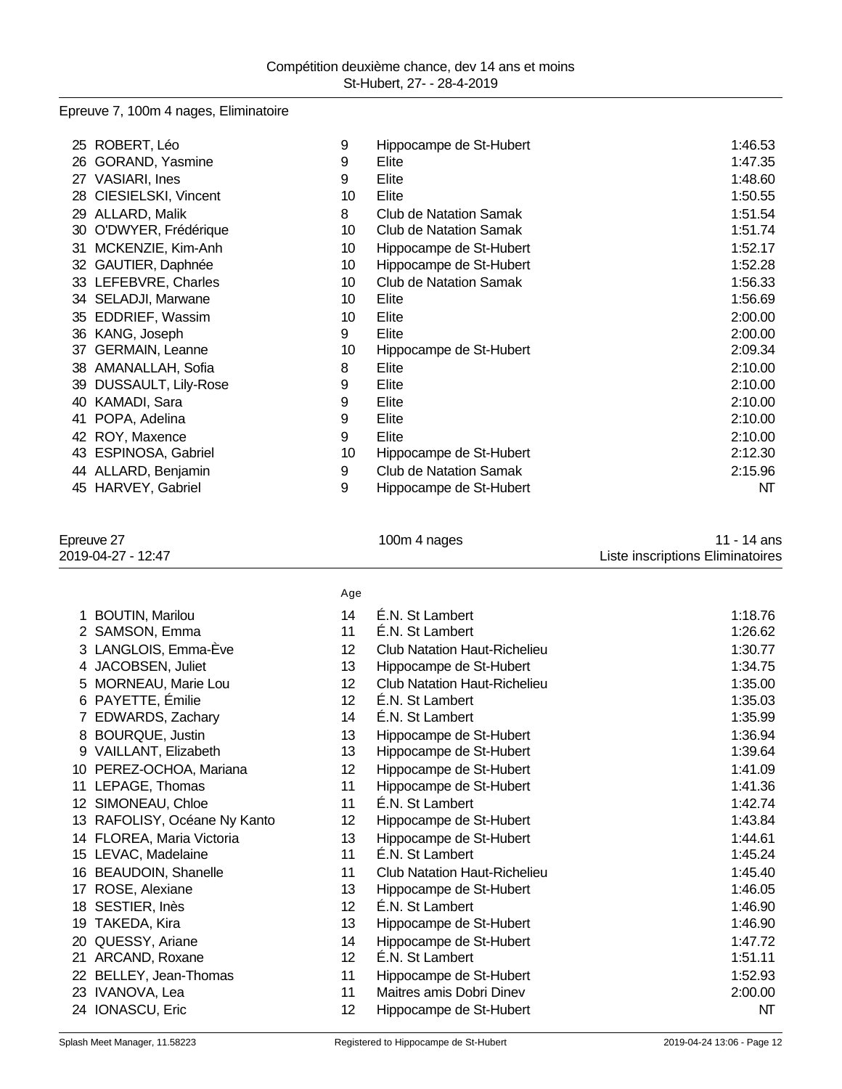# Epreuve 7, 100m 4 nages, Eliminatoire

| ROBERT, Léo<br>25                | 9               | Hippocampe de St-Hubert       | 1:46.53 |
|----------------------------------|-----------------|-------------------------------|---------|
| GORAND, Yasmine<br>26            | 9               | Elite                         | 1:47.35 |
| <b>VASIARI, Ines</b><br>27       | 9               | Elite                         | 1:48.60 |
| CIESIELSKI, Vincent<br>28        | 10              | Elite                         | 1:50.55 |
| ALLARD, Malik<br>29              | 8               | Club de Natation Samak        | 1:51.54 |
| O'DWYER, Frédérique<br>30        | 10              | Club de Natation Samak        | 1:51.74 |
| MCKENZIE, Kim-Anh<br>31          | 10 <sup>1</sup> | Hippocampe de St-Hubert       | 1:52.17 |
| GAUTIER, Daphnée<br>32           | 10 <sup>1</sup> | Hippocampe de St-Hubert       | 1:52.28 |
| 33 LEFEBVRE, Charles             | 10              | Club de Natation Samak        | 1:56.33 |
| 34 SELADJI, Marwane              | 10              | Elite                         | 1:56.69 |
| EDDRIEF, Wassim<br>35            | 10              | Elite                         | 2:00.00 |
| KANG, Joseph<br>36               | 9               | Elite                         | 2:00.00 |
| <b>GERMAIN, Leanne</b><br>37     | 10              | Hippocampe de St-Hubert       | 2:09.34 |
| AMANALLAH, Sofia<br>38           | 8               | Elite                         | 2:10.00 |
| <b>DUSSAULT, Lily-Rose</b><br>39 | 9               | Elite                         | 2:10.00 |
| KAMADI, Sara<br>40               | 9               | Elite                         | 2:10.00 |
| POPA, Adelina<br>41              | 9               | Elite                         | 2:10.00 |
| ROY, Maxence<br>42               | 9               | Elite                         | 2:10.00 |
| ESPINOSA, Gabriel<br>43          | 10              | Hippocampe de St-Hubert       | 2:12.30 |
| 44 ALLARD, Benjamin              | 9               | <b>Club de Natation Samak</b> | 2:15.96 |
| HARVEY, Gabriel<br>45            | 9               | Hippocampe de St-Hubert       | NΤ      |
|                                  |                 |                               |         |
|                                  |                 |                               |         |

| 100m 4 nages |
|--------------|
|              |

# Epreuve 27 100m 4 nages 11 - 14 ans 2019-04-27 - 12:47 Liste inscriptions Eliminatoires

|                              | Age             |                                     |         |
|------------------------------|-----------------|-------------------------------------|---------|
| 1 BOUTIN, Marilou            | 14              | E.N. St Lambert                     | 1:18.76 |
| 2 SAMSON, Emma               | 11              | É.N. St Lambert                     | 1:26.62 |
| 3 LANGLOIS, Emma-Ève         | 12 <sup>°</sup> | <b>Club Natation Haut-Richelieu</b> | 1:30.77 |
| 4 JACOBSEN, Juliet           | 13              | Hippocampe de St-Hubert             | 1:34.75 |
| 5 MORNEAU, Marie Lou         | 12 <sup>2</sup> | <b>Club Natation Haut-Richelieu</b> | 1:35.00 |
| 6 PAYETTE, Émilie            | 12 <sup>°</sup> | É.N. St Lambert                     | 1:35.03 |
| 7 EDWARDS, Zachary           | 14              | É.N. St Lambert                     | 1:35.99 |
| 8 BOURQUE, Justin            | 13              | Hippocampe de St-Hubert             | 1:36.94 |
| 9 VAILLANT, Elizabeth        | 13              | Hippocampe de St-Hubert             | 1:39.64 |
| 10 PEREZ-OCHOA, Mariana      | 12 <sup>°</sup> | Hippocampe de St-Hubert             | 1:41.09 |
| 11 LEPAGE, Thomas            | 11              | Hippocampe de St-Hubert             | 1:41.36 |
| 12 SIMONEAU, Chloe           | 11              | É.N. St Lambert                     | 1:42.74 |
| 13 RAFOLISY, Océane Ny Kanto | 12 <sup>°</sup> | Hippocampe de St-Hubert             | 1:43.84 |
| 14 FLOREA, Maria Victoria    | 13              | Hippocampe de St-Hubert             | 1:44.61 |
| 15 LEVAC, Madelaine          | 11              | É.N. St Lambert                     | 1:45.24 |
| 16 BEAUDOIN, Shanelle        | 11              | <b>Club Natation Haut-Richelieu</b> | 1:45.40 |
| 17 ROSE, Alexiane            | 13              | Hippocampe de St-Hubert             | 1:46.05 |
| 18 SESTIER, Inès             | 12 <sup>°</sup> | É.N. St Lambert                     | 1:46.90 |
| 19 TAKEDA, Kira              | 13              | Hippocampe de St-Hubert             | 1:46.90 |
| 20 QUESSY, Ariane            | 14              | Hippocampe de St-Hubert             | 1:47.72 |
| 21 ARCAND, Roxane            | 12 <sup>2</sup> | É.N. St Lambert                     | 1:51.11 |
| 22 BELLEY, Jean-Thomas       | 11              | Hippocampe de St-Hubert             | 1:52.93 |
| 23 IVANOVA, Lea              | 11              | Maitres amis Dobri Dinev            | 2:00.00 |
| 24 IONASCU, Eric             | 12 <sub>2</sub> | Hippocampe de St-Hubert             | NΤ      |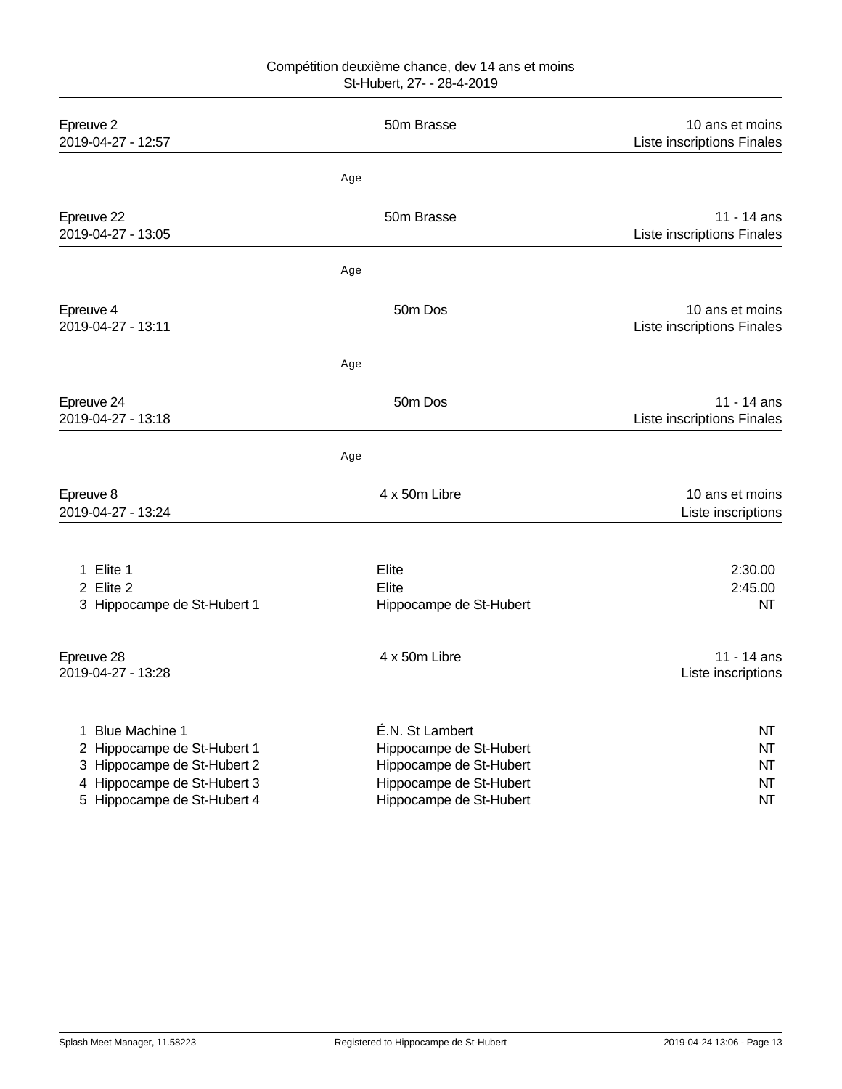| Epreuve 2<br>2019-04-27 - 12:57                                                                                                                        | 50m Brasse                                                                                                                  | 10 ans et moins<br>Liste inscriptions Finales |
|--------------------------------------------------------------------------------------------------------------------------------------------------------|-----------------------------------------------------------------------------------------------------------------------------|-----------------------------------------------|
|                                                                                                                                                        | Age                                                                                                                         |                                               |
| Epreuve 22<br>2019-04-27 - 13:05                                                                                                                       | 50m Brasse                                                                                                                  | 11 - 14 ans<br>Liste inscriptions Finales     |
|                                                                                                                                                        | Age                                                                                                                         |                                               |
| Epreuve 4<br>2019-04-27 - 13:11                                                                                                                        | 50 <sub>m</sub> Dos                                                                                                         | 10 ans et moins<br>Liste inscriptions Finales |
|                                                                                                                                                        | Age                                                                                                                         |                                               |
| Epreuve 24<br>2019-04-27 - 13:18                                                                                                                       | 50 <sub>m</sub> Dos                                                                                                         | 11 - 14 ans<br>Liste inscriptions Finales     |
|                                                                                                                                                        | Age                                                                                                                         |                                               |
| Epreuve 8<br>2019-04-27 - 13:24                                                                                                                        | 4 x 50m Libre                                                                                                               | 10 ans et moins<br>Liste inscriptions         |
| 1 Elite 1<br>2 Elite 2<br>3 Hippocampe de St-Hubert 1                                                                                                  | Elite<br>Elite<br>Hippocampe de St-Hubert                                                                                   | 2:30.00<br>2:45.00<br>NΤ                      |
| Epreuve 28<br>2019-04-27 - 13:28                                                                                                                       | 4 x 50m Libre                                                                                                               | 11 - 14 ans<br>Liste inscriptions             |
| <b>Blue Machine 1</b><br>1<br>2 Hippocampe de St-Hubert 1<br>3 Hippocampe de St-Hubert 2<br>4 Hippocampe de St-Hubert 3<br>5 Hippocampe de St-Hubert 4 | É.N. St Lambert<br>Hippocampe de St-Hubert<br>Hippocampe de St-Hubert<br>Hippocampe de St-Hubert<br>Hippocampe de St-Hubert | NT<br>NT<br>NΤ<br>NT<br>NT                    |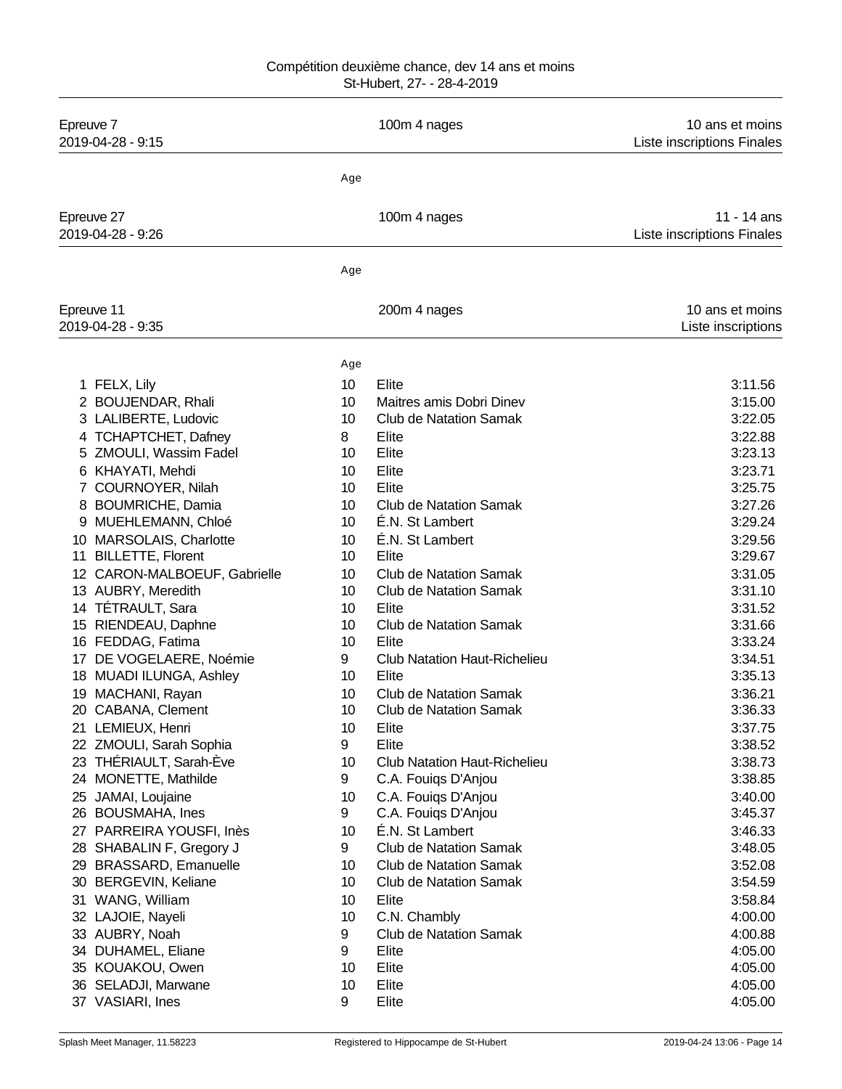| Epreuve 7<br>2019-04-28 - 9:15                     |         | 100m 4 nages                               | 10 ans et moins<br>Liste inscriptions Finales |
|----------------------------------------------------|---------|--------------------------------------------|-----------------------------------------------|
|                                                    | Age     |                                            |                                               |
| Epreuve 27                                         |         | 100m 4 nages                               | 11 - 14 ans                                   |
| 2019-04-28 - 9:26                                  |         |                                            | Liste inscriptions Finales                    |
|                                                    | Age     |                                            |                                               |
| Epreuve 11<br>2019-04-28 - 9:35                    |         | 200m 4 nages                               | 10 ans et moins<br>Liste inscriptions         |
|                                                    | Age     |                                            |                                               |
| 1 FELX, Lily                                       | 10      | Elite                                      | 3:11.56                                       |
| 2 BOUJENDAR, Rhali                                 | 10      | Maitres amis Dobri Dinev                   | 3:15.00                                       |
| 3 LALIBERTE, Ludovic                               | 10      | <b>Club de Natation Samak</b>              | 3:22.05                                       |
| 4 TCHAPTCHET, Dafney                               | 8       | Elite                                      | 3:22.88                                       |
| ZMOULI, Wassim Fadel<br>5                          | 10      | Elite                                      | 3:23.13                                       |
| KHAYATI, Mehdi<br>6                                | 10      | Elite                                      | 3:23.71                                       |
| COURNOYER, Nilah                                   | 10      | Elite                                      | 3:25.75                                       |
| <b>BOUMRICHE, Damia</b><br>8                       | 10      | <b>Club de Natation Samak</b>              | 3:27.26                                       |
| MUEHLEMANN, Chloé                                  | 10      | É.N. St Lambert                            | 3:29.24                                       |
| MARSOLAIS, Charlotte<br>10                         | 10      | É.N. St Lambert                            | 3:29.56                                       |
| <b>BILLETTE, Florent</b><br>11                     | 10      | Elite                                      | 3:29.67                                       |
| CARON-MALBOEUF, Gabrielle<br>12 <sup>°</sup>       | 10      | <b>Club de Natation Samak</b>              | 3:31.05                                       |
| 13 AUBRY, Meredith                                 | 10      | <b>Club de Natation Samak</b>              | 3:31.10                                       |
| 14 TÉTRAULT, Sara                                  | 10      | Elite                                      | 3:31.52                                       |
| 15 RIENDEAU, Daphne                                | 10      | <b>Club de Natation Samak</b>              | 3:31.66                                       |
| 16 FEDDAG, Fatima                                  | 10      | Elite                                      | 3:33.24                                       |
| 17 DE VOGELAERE, Noémie                            | 9       | <b>Club Natation Haut-Richelieu</b>        | 3:34.51                                       |
| <b>MUADI ILUNGA, Ashley</b><br>18                  | 10      | Elite                                      | 3:35.13                                       |
| MACHANI, Rayan<br>19                               | 10      | <b>Club de Natation Samak</b>              | 3:36.21                                       |
| 20 CABANA, Clement                                 | 10      | <b>Club de Natation Samak</b>              | 3:36.33                                       |
| 21 LEMIEUX, Henri                                  | 10<br>9 | Elite<br>Elite                             | 3:37.75                                       |
| 22 ZMOULI, Sarah Sophia                            | 10      |                                            | 3:38.52                                       |
| THÉRIAULT, Sarah-Ève<br>23<br>24 MONETTE, Mathilde | 9       | <b>Club Natation Haut-Richelieu</b>        | 3:38.73<br>3:38.85                            |
|                                                    | 10      | C.A. Fouiqs D'Anjou                        |                                               |
| JAMAI, Loujaine<br>25<br>26 BOUSMAHA, Ines         | 9       | C.A. Fouiqs D'Anjou<br>C.A. Fouiqs D'Anjou | 3:40.00<br>3:45.37                            |
| 27 PARREIRA YOUSFI, Inès                           | 10      | É.N. St Lambert                            | 3:46.33                                       |
| 28 SHABALIN F, Gregory J                           | 9       | <b>Club de Natation Samak</b>              | 3:48.05                                       |
| <b>BRASSARD, Emanuelle</b><br>29                   | 10      | <b>Club de Natation Samak</b>              | 3:52.08                                       |
| <b>BERGEVIN, Keliane</b><br>30                     | 10      | <b>Club de Natation Samak</b>              | 3:54.59                                       |
| WANG, William<br>31                                | 10      | Elite                                      | 3:58.84                                       |
| 32 LAJOIE, Nayeli                                  | 10      | C.N. Chambly                               | 4:00.00                                       |
| 33 AUBRY, Noah                                     | 9       | <b>Club de Natation Samak</b>              | 4:00.88                                       |
| 34 DUHAMEL, Eliane                                 | 9       | Elite                                      | 4:05.00                                       |
| 35 KOUAKOU, Owen                                   | 10      | Elite                                      | 4:05.00                                       |
| 36 SELADJI, Marwane                                | 10      | Elite                                      | 4:05.00                                       |
| 37 VASIARI, Ines                                   | 9       | Elite                                      | 4:05.00                                       |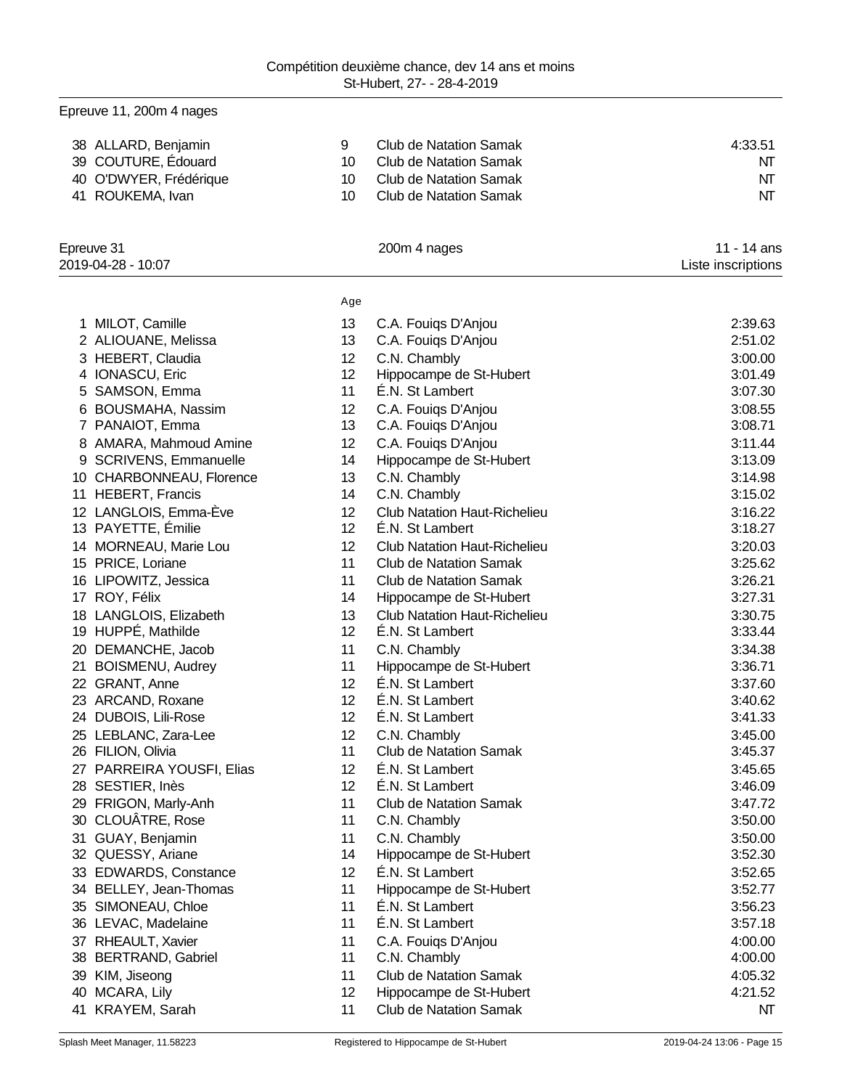|    | Epreuve 11, 200m 4 nages  |     |                                     |                    |
|----|---------------------------|-----|-------------------------------------|--------------------|
|    | 38 ALLARD, Benjamin       | 9   | <b>Club de Natation Samak</b>       | 4:33.51            |
|    | 39 COUTURE, Édouard       | 10  | <b>Club de Natation Samak</b>       | NT                 |
|    | 40 O'DWYER, Frédérique    | 10  | <b>Club de Natation Samak</b>       | NΤ                 |
|    | 41 ROUKEMA, Ivan          | 10  | <b>Club de Natation Samak</b>       | NT                 |
|    | Epreuve 31                |     | 200m 4 nages                        | 11 - 14 ans        |
|    | 2019-04-28 - 10:07        |     |                                     | Liste inscriptions |
|    |                           | Age |                                     |                    |
|    | 1 MILOT, Camille          | 13  | C.A. Fouigs D'Anjou                 | 2:39.63            |
|    | 2 ALIOUANE, Melissa       | 13  | C.A. Fouiqs D'Anjou                 | 2:51.02            |
|    | 3 HEBERT, Claudia         | 12  | C.N. Chambly                        | 3:00.00            |
|    | 4 IONASCU, Eric           | 12  | Hippocampe de St-Hubert             | 3:01.49            |
| 5  | SAMSON, Emma              | 11  | É.N. St Lambert                     | 3:07.30            |
| 6  | <b>BOUSMAHA, Nassim</b>   | 12  | C.A. Fouigs D'Anjou                 | 3:08.55            |
|    | 7 PANAIOT, Emma           | 13  | C.A. Fouiqs D'Anjou                 | 3:08.71            |
|    | 8 AMARA, Mahmoud Amine    | 12  | C.A. Fouigs D'Anjou                 | 3:11.44            |
| 9  | SCRIVENS, Emmanuelle      | 14  | Hippocampe de St-Hubert             | 3:13.09            |
|    | 10 CHARBONNEAU, Florence  | 13  | C.N. Chambly                        | 3:14.98            |
|    | 11 HEBERT, Francis        | 14  | C.N. Chambly                        | 3:15.02            |
|    | 12 LANGLOIS, Emma-Ève     | 12  | <b>Club Natation Haut-Richelieu</b> | 3:16.22            |
|    | 13 PAYETTE, Émilie        | 12  | É.N. St Lambert                     | 3:18.27            |
|    | 14 MORNEAU, Marie Lou     | 12  | <b>Club Natation Haut-Richelieu</b> | 3:20.03            |
|    | 15 PRICE, Loriane         | 11  | <b>Club de Natation Samak</b>       | 3:25.62            |
|    | 16 LIPOWITZ, Jessica      | 11  | <b>Club de Natation Samak</b>       | 3:26.21            |
|    | 17 ROY, Félix             | 14  | Hippocampe de St-Hubert             | 3:27.31            |
|    | 18 LANGLOIS, Elizabeth    | 13  | <b>Club Natation Haut-Richelieu</b> | 3:30.75            |
|    | 19 HUPPÉ, Mathilde        | 12  | E.N. St Lambert                     | 3:33.44            |
|    | 20 DEMANCHE, Jacob        | 11  | C.N. Chambly                        | 3:34.38            |
| 21 | <b>BOISMENU, Audrey</b>   | 11  | Hippocampe de St-Hubert             | 3:36.71            |
|    | 22 GRANT, Anne            | 12  | É.N. St Lambert                     | 3:37.60            |
|    | 23 ARCAND, Roxane         | 12  | É.N. St Lambert                     | 3:40.62            |
|    | 24 DUBOIS, Lili-Rose      | 12  | E.N. St Lambert                     | 3:41.33            |
|    | 25 LEBLANC, Zara-Lee      | 12  | C.N. Chambly                        | 3:45.00            |
|    | 26 FILION, Olivia         | 11  | <b>Club de Natation Samak</b>       | 3:45.37            |
|    | 27 PARREIRA YOUSFI, Elias | 12  | É.N. St Lambert                     | 3:45.65            |
|    | 28 SESTIER, Inès          | 12  | É.N. St Lambert                     | 3:46.09            |
|    | 29 FRIGON, Marly-Anh      | 11  | <b>Club de Natation Samak</b>       | 3:47.72            |
|    | 30 CLOUÂTRE, Rose         | 11  | C.N. Chambly                        | 3:50.00            |
| 31 | GUAY, Benjamin            | 11  | C.N. Chambly                        | 3:50.00            |
|    | 32 QUESSY, Ariane         | 14  | Hippocampe de St-Hubert             | 3:52.30            |
|    | 33 EDWARDS, Constance     | 12  | É.N. St Lambert                     | 3:52.65            |
|    | 34 BELLEY, Jean-Thomas    | 11  | Hippocampe de St-Hubert             | 3:52.77            |
|    | 35 SIMONEAU, Chloe        | 11  | É.N. St Lambert                     | 3:56.23            |
|    | 36 LEVAC, Madelaine       | 11  | E.N. St Lambert                     | 3:57.18            |
|    | 37 RHEAULT, Xavier        | 11  | C.A. Fouiqs D'Anjou                 | 4:00.00            |
|    | 38 BERTRAND, Gabriel      | 11  | C.N. Chambly                        | 4:00.00            |
|    | 39 KIM, Jiseong           | 11  | Club de Natation Samak              | 4:05.32            |
|    | 40 MCARA, Lily            | 12  | Hippocampe de St-Hubert             | 4:21.52            |
|    | 41 KRAYEM, Sarah          | 11  | Club de Natation Samak              | NΤ                 |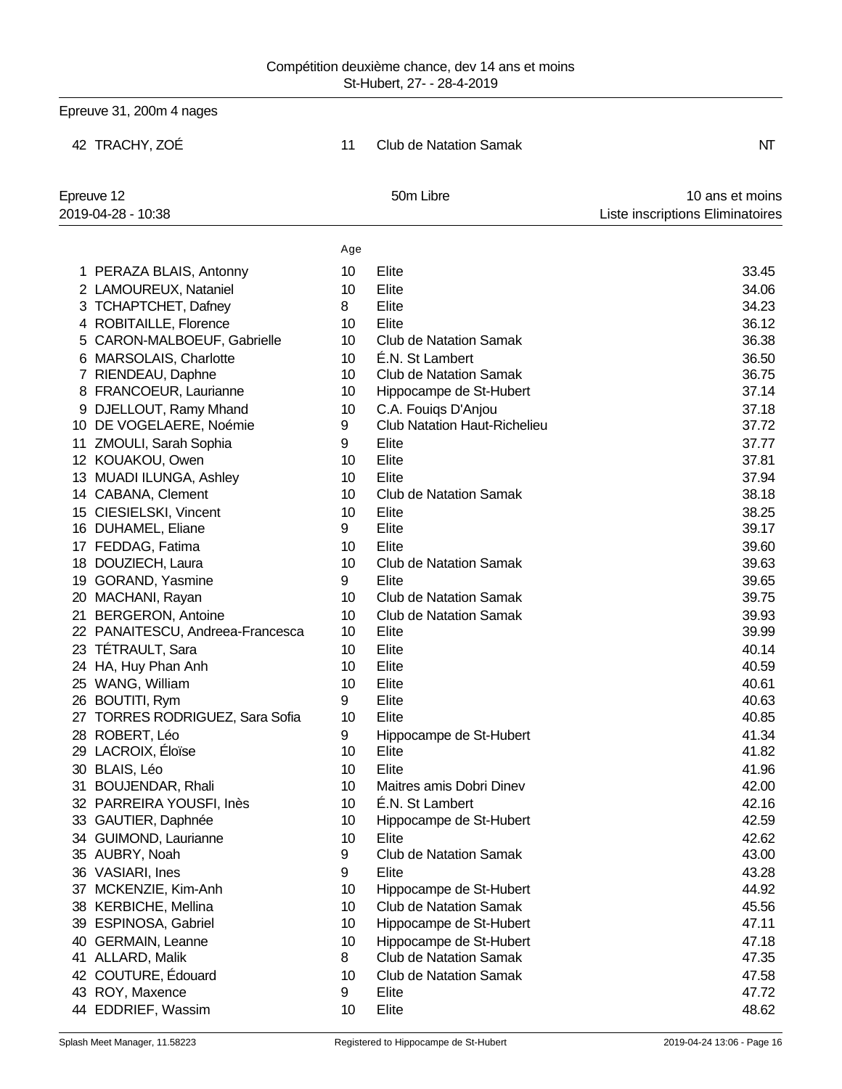|    | Epreuve 31, 200m 4 nages         |                 |                                     |                                  |  |  |
|----|----------------------------------|-----------------|-------------------------------------|----------------------------------|--|--|
|    | 42 TRACHY, ZOÉ                   | 11              | Club de Natation Samak              | NΤ                               |  |  |
|    | Epreuve 12                       |                 | 50m Libre                           | 10 ans et moins                  |  |  |
|    | 2019-04-28 - 10:38               |                 |                                     | Liste inscriptions Eliminatoires |  |  |
|    |                                  | Age             |                                     |                                  |  |  |
|    | 1 PERAZA BLAIS, Antonny          | 10              | Elite                               | 33.45                            |  |  |
|    | 2 LAMOUREUX, Nataniel            | 10              | Elite                               | 34.06                            |  |  |
|    | 3 TCHAPTCHET, Dafney             | 8               | Elite                               | 34.23                            |  |  |
|    | 4 ROBITAILLE, Florence           | 10              | Elite                               | 36.12                            |  |  |
|    | 5 CARON-MALBOEUF, Gabrielle      | 10              | <b>Club de Natation Samak</b>       | 36.38                            |  |  |
|    | 6 MARSOLAIS, Charlotte           | 10              | É.N. St Lambert                     | 36.50                            |  |  |
|    | 7 RIENDEAU, Daphne               | 10              | <b>Club de Natation Samak</b>       | 36.75                            |  |  |
|    | 8 FRANCOEUR, Laurianne           | 10              | Hippocampe de St-Hubert             | 37.14                            |  |  |
|    | 9 DJELLOUT, Ramy Mhand           | 10 <sup>°</sup> | C.A. Fouiqs D'Anjou                 | 37.18                            |  |  |
|    | 10 DE VOGELAERE, Noémie          | 9               | <b>Club Natation Haut-Richelieu</b> | 37.72                            |  |  |
|    | 11 ZMOULI, Sarah Sophia          | 9               | Elite                               | 37.77                            |  |  |
|    | 12 KOUAKOU, Owen                 | 10              | Elite                               | 37.81                            |  |  |
|    | 13 MUADI ILUNGA, Ashley          | 10              | Elite                               | 37.94                            |  |  |
|    | 14 CABANA, Clement               | 10              | <b>Club de Natation Samak</b>       | 38.18                            |  |  |
|    | 15 CIESIELSKI, Vincent           | 10              | Elite                               | 38.25                            |  |  |
|    | 16 DUHAMEL, Eliane               | 9               | Elite                               | 39.17                            |  |  |
|    | 17 FEDDAG, Fatima                | 10              | Elite                               | 39.60                            |  |  |
|    | 18 DOUZIECH, Laura               | 10              | <b>Club de Natation Samak</b>       | 39.63                            |  |  |
|    | 19 GORAND, Yasmine               | 9               | Elite                               | 39.65                            |  |  |
|    | 20 MACHANI, Rayan                | 10              | <b>Club de Natation Samak</b>       | 39.75                            |  |  |
|    | 21 BERGERON, Antoine             | 10              | <b>Club de Natation Samak</b>       | 39.93                            |  |  |
|    | 22 PANAITESCU, Andreea-Francesca | 10 <sup>°</sup> | Elite                               | 39.99                            |  |  |
|    | 23 TÉTRAULT, Sara                | 10              | Elite                               | 40.14                            |  |  |
|    | 24 HA, Huy Phan Anh              | 10              | Elite                               | 40.59                            |  |  |
|    | 25 WANG, William                 | 10              | Elite                               | 40.61                            |  |  |
|    | 26 BOUTITI, Rym                  | 9               | Elite                               | 40.63                            |  |  |
|    | 27 TORRES RODRIGUEZ, Sara Sofia  | 10              | Elite                               | 40.85                            |  |  |
|    | 28 ROBERT, Léo                   | 9               | Hippocampe de St-Hubert             | 41.34                            |  |  |
| 29 | LACROIX, Éloïse                  | 10 <sup>°</sup> | Elite                               | 41.82                            |  |  |
|    | 30 BLAIS, Léo                    | 10 <sup>°</sup> | Elite                               | 41.96                            |  |  |
| 31 | <b>BOUJENDAR, Rhali</b>          | 10              | Maitres amis Dobri Dinev            | 42.00                            |  |  |
|    | 32 PARREIRA YOUSFI, Inès         | 10 <sup>°</sup> | É.N. St Lambert                     | 42.16                            |  |  |
|    | 33 GAUTIER, Daphnée              | 10              | Hippocampe de St-Hubert             | 42.59                            |  |  |
|    | 34 GUIMOND, Laurianne            | 10              | Elite                               | 42.62                            |  |  |
|    | 35 AUBRY, Noah                   | 9               | <b>Club de Natation Samak</b>       | 43.00                            |  |  |
|    | 36 VASIARI, Ines                 | 9               | Elite                               | 43.28                            |  |  |
|    | 37 MCKENZIE, Kim-Anh             | 10              | Hippocampe de St-Hubert             | 44.92                            |  |  |
|    | 38 KERBICHE, Mellina             | 10              | <b>Club de Natation Samak</b>       | 45.56                            |  |  |
|    | 39 ESPINOSA, Gabriel             | 10              | Hippocampe de St-Hubert             | 47.11                            |  |  |
| 40 | <b>GERMAIN, Leanne</b>           | 10              | Hippocampe de St-Hubert             | 47.18                            |  |  |
|    | 41 ALLARD, Malik                 | 8               | <b>Club de Natation Samak</b>       | 47.35                            |  |  |
|    | 42 COUTURE, Édouard              | 10              | <b>Club de Natation Samak</b>       | 47.58                            |  |  |
|    | 43 ROY, Maxence                  | 9               | Elite                               | 47.72                            |  |  |
|    | 44 EDDRIEF, Wassim               | 10              | Elite                               | 48.62                            |  |  |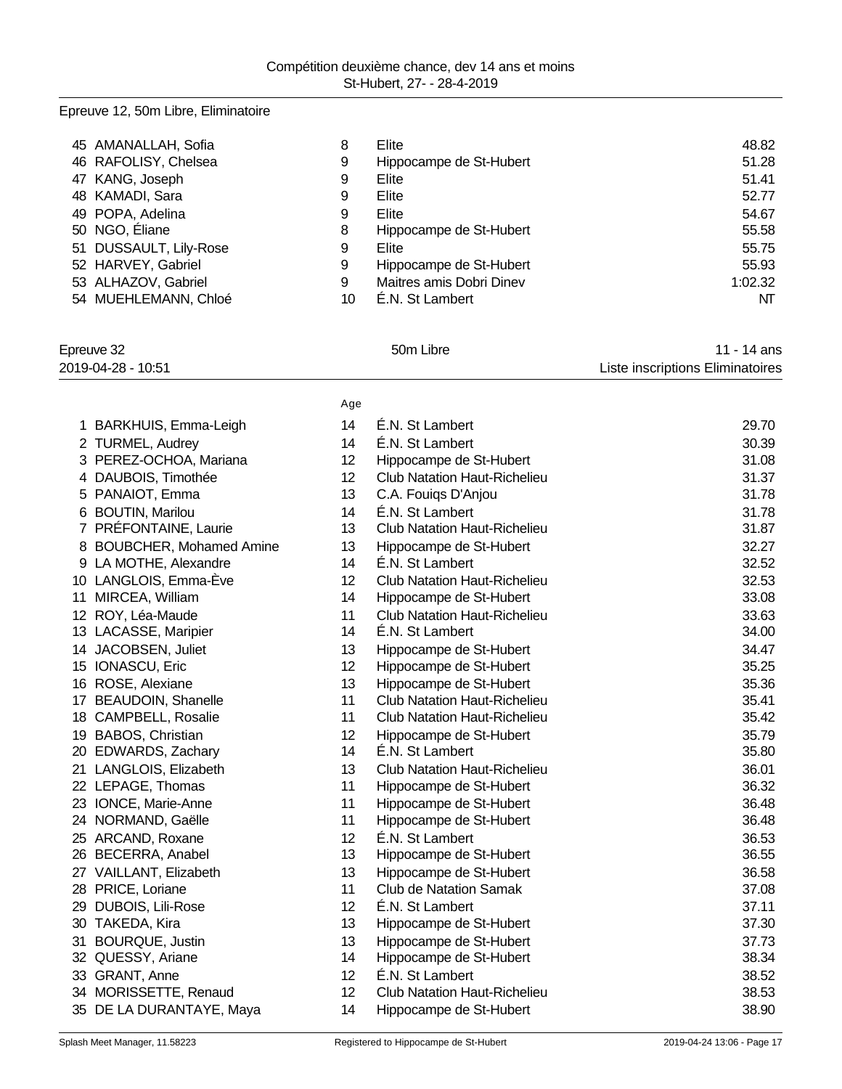# Epreuve 12, 50m Libre, Eliminatoire

| 45 AMANALLAH, Sofia    | 8  | Elite                    | 48.82   |
|------------------------|----|--------------------------|---------|
| 46 RAFOLISY, Chelsea   | 9  | Hippocampe de St-Hubert  | 51.28   |
| 47 KANG, Joseph        | 9  | Elite                    | 51.41   |
| 48 KAMADI, Sara        | 9  | Elite                    | 52.77   |
| 49 POPA, Adelina       | 9  | Elite                    | 54.67   |
| 50 NGO, Eliane         | 8  | Hippocampe de St-Hubert  | 55.58   |
| 51 DUSSAULT, Lily-Rose | 9  | Elite                    | 55.75   |
| 52 HARVEY, Gabriel     | 9  | Hippocampe de St-Hubert  | 55.93   |
| 53 ALHAZOV, Gabriel    | 9  | Maitres amis Dobri Dinev | 1:02.32 |
| 54 MUEHLEMANN, Chloé   | 10 | E.N. St Lambert          | NT      |

| Epreuve 32         | 50 <sub>m</sub> Libre | 11 - 14 ans                      |
|--------------------|-----------------------|----------------------------------|
| 2019-04-28 - 10:51 |                       | Liste inscriptions Eliminatoires |

|                                     | Age |                                     |       |
|-------------------------------------|-----|-------------------------------------|-------|
| 1 BARKHUIS, Emma-Leigh              | 14  | É.N. St Lambert                     | 29.70 |
| 2 TURMEL, Audrey                    | 14  | É.N. St Lambert                     | 30.39 |
| 3 PEREZ-OCHOA, Mariana              | 12  | Hippocampe de St-Hubert             | 31.08 |
| 4 DAUBOIS, Timothée                 | 12  | <b>Club Natation Haut-Richelieu</b> | 31.37 |
| PANAIOT, Emma<br>5                  | 13  | C.A. Fouiqs D'Anjou                 | 31.78 |
| 6 BOUTIN, Marilou                   | 14  | É.N. St Lambert                     | 31.78 |
| 7 PRÉFONTAINE, Laurie               | 13  | <b>Club Natation Haut-Richelieu</b> | 31.87 |
| <b>BOUBCHER, Mohamed Amine</b><br>8 | 13  | Hippocampe de St-Hubert             | 32.27 |
| 9 LA MOTHE, Alexandre               | 14  | E.N. St Lambert                     | 32.52 |
| 10 LANGLOIS, Emma-Ève               | 12  | <b>Club Natation Haut-Richelieu</b> | 32.53 |
| 11 MIRCEA, William                  | 14  | Hippocampe de St-Hubert             | 33.08 |
| 12 ROY, Léa-Maude                   | 11  | <b>Club Natation Haut-Richelieu</b> | 33.63 |
| 13 LACASSE, Maripier                | 14  | É.N. St Lambert                     | 34.00 |
| 14 JACOBSEN, Juliet                 | 13  | Hippocampe de St-Hubert             | 34.47 |
| 15 IONASCU, Eric                    | 12  | Hippocampe de St-Hubert             | 35.25 |
| 16 ROSE, Alexiane                   | 13  | Hippocampe de St-Hubert             | 35.36 |
| 17 BEAUDOIN, Shanelle               | 11  | <b>Club Natation Haut-Richelieu</b> | 35.41 |
| 18 CAMPBELL, Rosalie                | 11  | <b>Club Natation Haut-Richelieu</b> | 35.42 |
| 19 BABOS, Christian                 | 12  | Hippocampe de St-Hubert             | 35.79 |
| 20 EDWARDS, Zachary                 | 14  | É.N. St Lambert                     | 35.80 |
| 21 LANGLOIS, Elizabeth              | 13  | <b>Club Natation Haut-Richelieu</b> | 36.01 |
| 22 LEPAGE, Thomas                   | 11  | Hippocampe de St-Hubert             | 36.32 |
| 23 IONCE, Marie-Anne                | 11  | Hippocampe de St-Hubert             | 36.48 |
| 24 NORMAND, Gaëlle                  | 11  | Hippocampe de St-Hubert             | 36.48 |
| 25 ARCAND, Roxane                   | 12  | É.N. St Lambert                     | 36.53 |
| 26 BECERRA, Anabel                  | 13  | Hippocampe de St-Hubert             | 36.55 |
| 27 VAILLANT, Elizabeth              | 13  | Hippocampe de St-Hubert             | 36.58 |
| 28 PRICE, Loriane                   | 11  | <b>Club de Natation Samak</b>       | 37.08 |
| 29 DUBOIS, Lili-Rose                | 12  | É.N. St Lambert                     | 37.11 |
| 30 TAKEDA, Kira                     | 13  | Hippocampe de St-Hubert             | 37.30 |
| 31 BOURQUE, Justin                  | 13  | Hippocampe de St-Hubert             | 37.73 |
| 32 QUESSY, Ariane                   | 14  | Hippocampe de St-Hubert             | 38.34 |
| 33 GRANT, Anne                      | 12  | É.N. St Lambert                     | 38.52 |
| 34 MORISSETTE, Renaud               | 12  | <b>Club Natation Haut-Richelieu</b> | 38.53 |
| 35 DE LA DURANTAYE, Maya            | 14  | Hippocampe de St-Hubert             | 38.90 |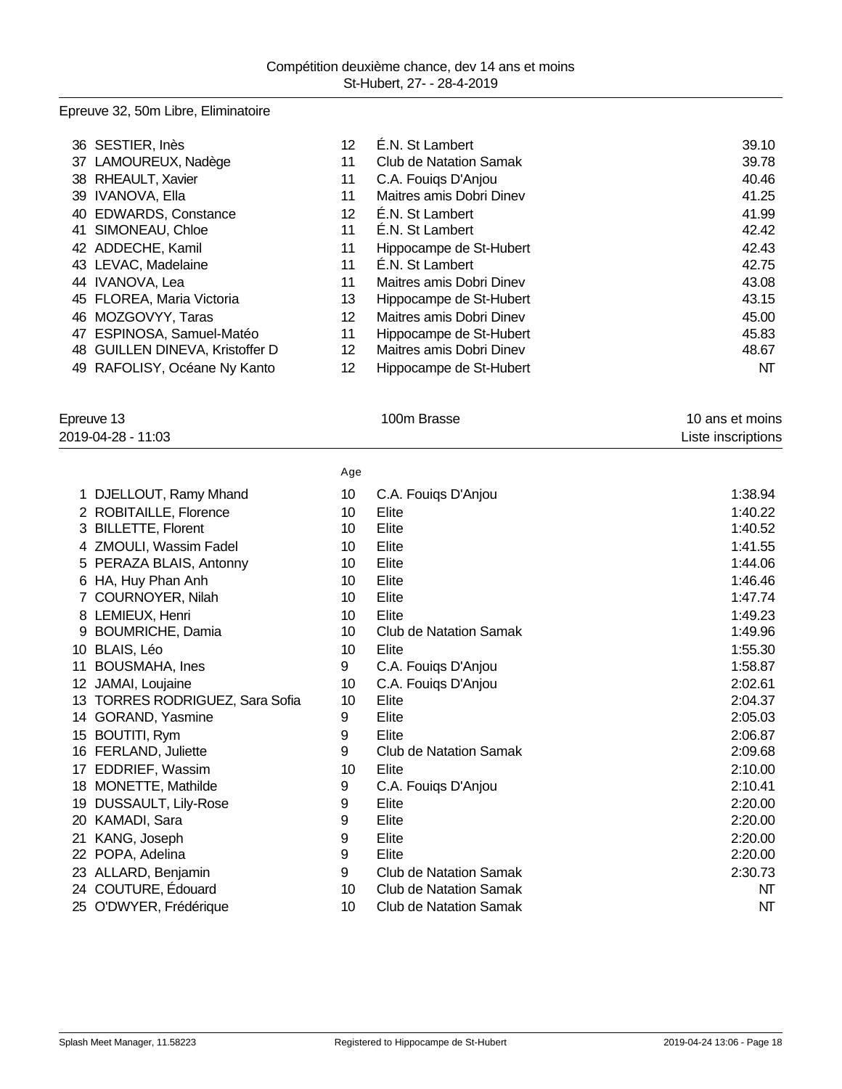## Epreuve 32, 50m Libre, Eliminatoire

| 36 SESTIER, Inès                | 12 | É.N. St Lambert          | 39.10 |
|---------------------------------|----|--------------------------|-------|
| 37 LAMOUREUX, Nadège            | 11 | Club de Natation Samak   | 39.78 |
| 38 RHEAULT, Xavier              | 11 | C.A. Fouigs D'Anjou      | 40.46 |
| 39 IVANOVA, Ella                | 11 | Maitres amis Dobri Dinev | 41.25 |
| 40 EDWARDS, Constance           | 12 | E.N. St Lambert          | 41.99 |
| 41 SIMONEAU, Chloe              | 11 | E.N. St Lambert          | 42.42 |
| 42 ADDECHE, Kamil               | 11 | Hippocampe de St-Hubert  | 42.43 |
| 43 LEVAC, Madelaine             | 11 | E.N. St Lambert          | 42.75 |
| 44 IVANOVA, Lea                 | 11 | Maitres amis Dobri Diney | 43.08 |
| 45 FLOREA, Maria Victoria       | 13 | Hippocampe de St-Hubert  | 43.15 |
| 46 MOZGOVYY, Taras              | 12 | Maitres amis Dobri Diney | 45.00 |
| 47 ESPINOSA, Samuel-Matéo       | 11 | Hippocampe de St-Hubert  | 45.83 |
| 48 GUILLEN DINEVA, Kristoffer D | 12 | Maitres amis Dobri Dinev | 48.67 |
| 49 RAFOLISY, Océane Ny Kanto    | 12 | Hippocampe de St-Hubert  | NT    |

| Epreuve 13<br>2019-04-28 - 11:03 |                                     |     | 100m Brasse                   | 10 ans et moins<br>Liste inscriptions |
|----------------------------------|-------------------------------------|-----|-------------------------------|---------------------------------------|
|                                  |                                     | Age |                               |                                       |
|                                  | 1 DJELLOUT, Ramy Mhand              | 10  | C.A. Fouigs D'Anjou           | 1:38.94                               |
|                                  | 2 ROBITAILLE, Florence              | 10  | Elite                         | 1:40.22                               |
|                                  | 3 BILLETTE, Florent                 | 10  | Elite                         | 1:40.52                               |
|                                  | 4 ZMOULI, Wassim Fadel              | 10  | Elite                         | 1:41.55                               |
|                                  | 5 PERAZA BLAIS, Antonny             | 10  | Elite                         | 1:44.06                               |
|                                  | 6 HA, Huy Phan Anh                  | 10  | Elite                         | 1:46.46                               |
|                                  | COURNOYER, Nilah                    | 10  | Elite                         | 1:47.74                               |
|                                  | 8 LEMIEUX, Henri                    | 10  | Elite                         | 1:49.23                               |
|                                  | 9 BOUMRICHE, Damia                  | 10  | Club de Natation Samak        | 1:49.96                               |
| 10                               | BLAIS, Léo                          | 10  | Elite                         | 1:55.30                               |
| 11                               | <b>BOUSMAHA, Ines</b>               | 9   | C.A. Fouigs D'Anjou           | 1:58.87                               |
|                                  | 12 JAMAI, Loujaine                  | 10  | C.A. Fouigs D'Anjou           | 2:02.61                               |
| 13                               | <b>TORRES RODRIGUEZ, Sara Sofia</b> | 10  | Elite                         | 2:04.37                               |
| 14                               | GORAND, Yasmine                     | 9   | Elite                         | 2:05.03                               |
|                                  | 15 BOUTITI, Rym                     | 9   | Elite                         | 2:06.87                               |
|                                  | 16 FERLAND, Juliette                | 9   | <b>Club de Natation Samak</b> | 2:09.68                               |
| 17                               | EDDRIEF, Wassim                     | 10  | Elite                         | 2:10.00                               |
| 18                               | MONETTE, Mathilde                   | 9   | C.A. Fouigs D'Anjou           | 2:10.41                               |
| 19                               | <b>DUSSAULT, Lily-Rose</b>          | 9   | Elite                         | 2:20.00                               |
| 20                               | KAMADI, Sara                        | 9   | Elite                         | 2:20.00                               |
| 21                               | KANG, Joseph                        | 9   | Elite                         | 2:20.00                               |
| 22                               | POPA, Adelina                       | 9   | Elite                         | 2:20.00                               |
|                                  | 23 ALLARD, Benjamin                 | 9   | Club de Natation Samak        | 2:30.73                               |
| 24                               | COUTURE, Edouard                    | 10  | <b>Club de Natation Samak</b> | NT                                    |
|                                  | 25 O'DWYER, Frédérique              | 10  | <b>Club de Natation Samak</b> | NΤ                                    |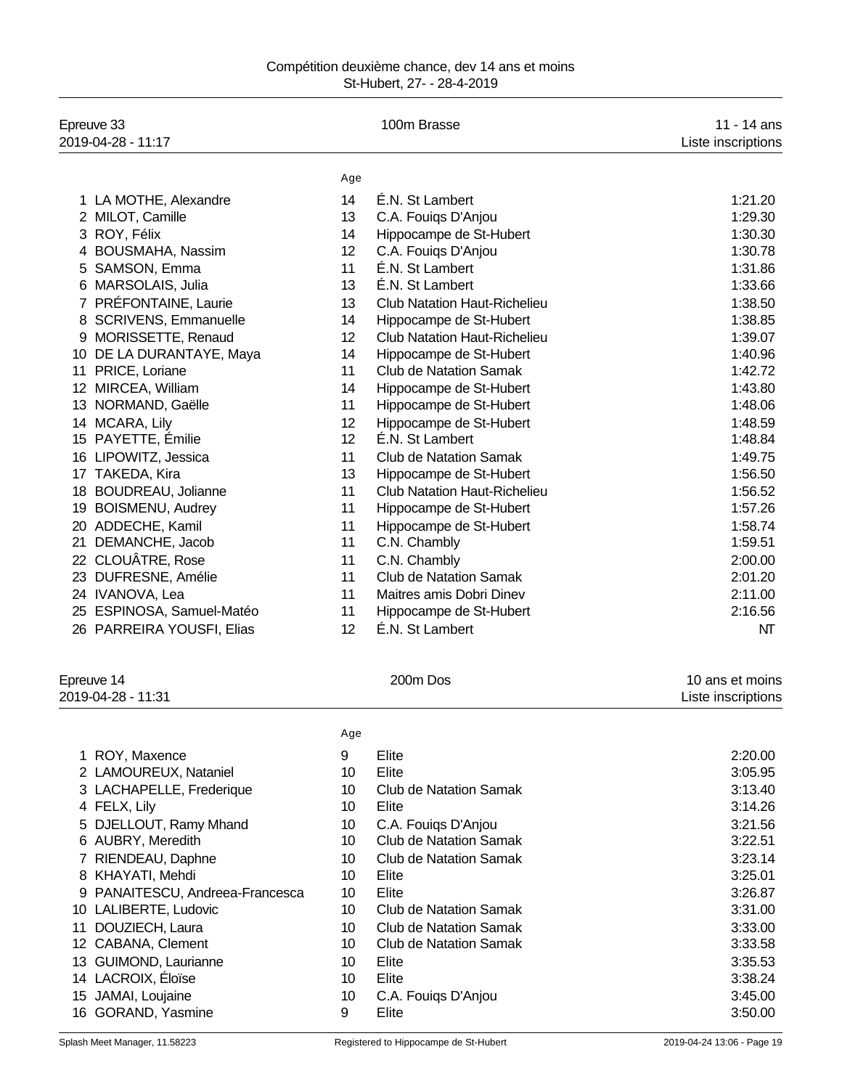| Epreuve 33<br>2019-04-28 - 11:17 |                 | 100m Brasse                         | 11 - 14 ans<br>Liste inscriptions |  |
|----------------------------------|-----------------|-------------------------------------|-----------------------------------|--|
|                                  | Age             |                                     |                                   |  |
| 1 LA MOTHE, Alexandre            | 14              | É.N. St Lambert                     | 1:21.20                           |  |
| 2 MILOT, Camille                 | 13              | C.A. Fouiqs D'Anjou                 | 1:29.30                           |  |
| 3 ROY, Félix                     | 14              | Hippocampe de St-Hubert             | 1:30.30                           |  |
| 4 BOUSMAHA, Nassim               | 12              | C.A. Fouigs D'Anjou                 | 1:30.78                           |  |
| 5 SAMSON, Emma                   | 11              | É.N. St Lambert                     | 1:31.86                           |  |
| 6 MARSOLAIS, Julia               | 13              | É.N. St Lambert                     | 1:33.66                           |  |
| 7 PRÉFONTAINE, Laurie            | 13              | <b>Club Natation Haut-Richelieu</b> | 1:38.50                           |  |
| 8 SCRIVENS, Emmanuelle           | 14              | Hippocampe de St-Hubert             | 1:38.85                           |  |
| 9 MORISSETTE, Renaud             | 12              | <b>Club Natation Haut-Richelieu</b> | 1:39.07                           |  |
| 10 DE LA DURANTAYE, Maya         | 14              | Hippocampe de St-Hubert             | 1:40.96                           |  |
| 11 PRICE, Loriane                | 11              | <b>Club de Natation Samak</b>       | 1:42.72                           |  |
| 12 MIRCEA, William               | 14              | Hippocampe de St-Hubert             | 1:43.80                           |  |
| 13 NORMAND, Gaëlle               | 11              | Hippocampe de St-Hubert             | 1:48.06                           |  |
| 14 MCARA, Lily                   | 12              | Hippocampe de St-Hubert             | 1:48.59                           |  |
| 15 PAYETTE, Emilie               | 12              | É.N. St Lambert                     | 1:48.84                           |  |
| 16 LIPOWITZ, Jessica             | 11              | <b>Club de Natation Samak</b>       | 1:49.75                           |  |
| 17 TAKEDA, Kira                  | 13              | Hippocampe de St-Hubert             | 1:56.50                           |  |
| 18 BOUDREAU, Jolianne            | 11              | <b>Club Natation Haut-Richelieu</b> | 1:56.52                           |  |
| 19 BOISMENU, Audrey              | 11              | Hippocampe de St-Hubert             | 1:57.26                           |  |
| 20 ADDECHE, Kamil                | 11              | Hippocampe de St-Hubert             | 1:58.74                           |  |
| 21 DEMANCHE, Jacob               | 11              | C.N. Chambly                        | 1:59.51                           |  |
| 22 CLOUÂTRE, Rose                | 11              | C.N. Chambly                        | 2:00.00                           |  |
| 23 DUFRESNE, Amélie              | 11              | <b>Club de Natation Samak</b>       | 2:01.20                           |  |
| 24 IVANOVA, Lea                  | 11              | Maitres amis Dobri Dinev            | 2:11.00                           |  |
| 25 ESPINOSA, Samuel-Matéo        | 11              | Hippocampe de St-Hubert             | 2:16.56                           |  |
| 26 PARREIRA YOUSFI, Elias        | 12              | É.N. St Lambert                     | NT                                |  |
| Epreuve 14                       |                 | 200m Dos                            | 10 ans et moins                   |  |
| 2019-04-28 - 11:31               |                 |                                     | Liste inscriptions                |  |
|                                  | Age             |                                     |                                   |  |
| 1 ROY, Maxence                   | 9               | Elite                               | 2:20.00                           |  |
| 2 LAMOUREUX, Nataniel            | 10              | Elite                               | 3:05.95                           |  |
| 3 LACHAPELLE, Frederique         | 10              | <b>Club de Natation Samak</b>       | 3:13.40                           |  |
| 4 FELX, Lily                     | 10 <sup>°</sup> | Elite                               | 3:14.26                           |  |
| 5 DJELLOUT, Ramy Mhand           | 10              | C.A. Fouiqs D'Anjou                 | 3:21.56                           |  |
| 6 AUBRY, Meredith                | 10 <sup>°</sup> | <b>Club de Natation Samak</b>       | 3:22.51                           |  |
| 7 RIENDEAU, Daphne               | 10              | <b>Club de Natation Samak</b>       | 3:23.14                           |  |
| 8 KHAYATI, Mehdi                 | 10              | Elite                               | 3:25.01                           |  |
| 9 PANAITESCU, Andreea-Francesca  | 10              | Elite                               | 3:26.87                           |  |
| 10 LALIBERTE, Ludovic            | 10              | <b>Club de Natation Samak</b>       | 3:31.00                           |  |
| DOUZIECH, Laura<br>11            | 10              | <b>Club de Natation Samak</b>       | 3:33.00                           |  |
| 12 CABANA, Clement               | 10              | <b>Club de Natation Samak</b>       | 3:33.58                           |  |
| 13 GUIMOND, Laurianne            | 10 <sup>1</sup> | Elite                               | 3:35.53                           |  |
| 14 LACROIX, Éloïse               | 10 <sup>1</sup> | Elite                               | 3:38.24                           |  |
| 15 JAMAI, Loujaine               | 10              | C.A. Fouiqs D'Anjou                 | 3:45.00                           |  |
| 16 GORAND, Yasmine               | 9               | Elite                               | 3:50.00                           |  |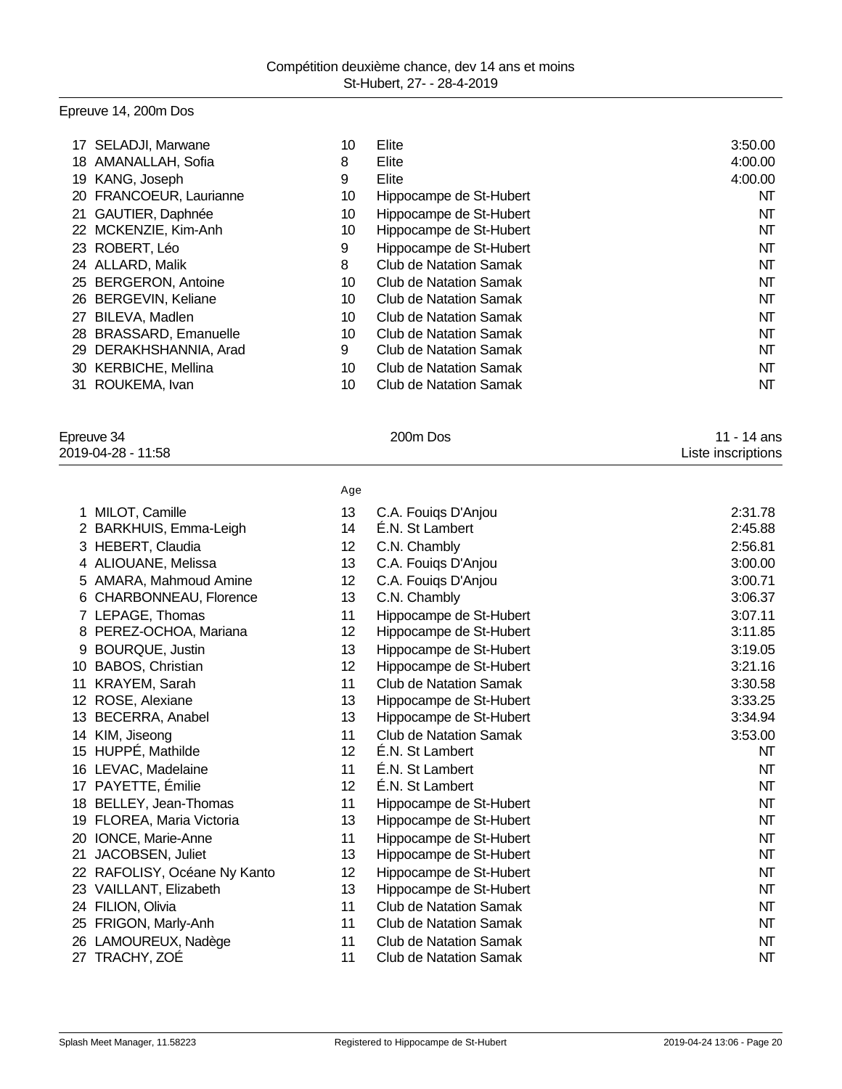# Epreuve 14, 200m Dos

| 17 SELADJI, Marwane     | 10 | Elite                   | 3:50.00 |
|-------------------------|----|-------------------------|---------|
| 18 AMANALLAH, Sofia     | 8  | Elite                   | 4:00.00 |
| 19 KANG, Joseph         | 9  | Elite                   | 4:00.00 |
| 20 FRANCOEUR, Laurianne | 10 | Hippocampe de St-Hubert | NT      |
| 21 GAUTIER, Daphnée     | 10 | Hippocampe de St-Hubert | NΤ      |
| 22 MCKENZIE, Kim-Anh    | 10 | Hippocampe de St-Hubert | NΤ      |
| 23 ROBERT, Léo          | 9  | Hippocampe de St-Hubert | NT      |
| 24 ALLARD, Malik        | 8  | Club de Natation Samak  | NΤ      |
| 25 BERGERON, Antoine    | 10 | Club de Natation Samak  | NT      |
| 26 BERGEVIN, Keliane    | 10 | Club de Natation Samak  | NΤ      |
| BILEVA, Madlen<br>27    | 10 | Club de Natation Samak  | NΤ      |
| 28 BRASSARD, Emanuelle  | 10 | Club de Natation Samak  | NT      |
| 29 DERAKHSHANNIA, Arad  | 9  | Club de Natation Samak  | NΤ      |
| 30 KERBICHE, Mellina    | 10 | Club de Natation Samak  | NΤ      |
| ROUKEMA, Ivan<br>31.    | 10 | Club de Natation Samak  | NΤ      |
|                         |    |                         |         |

| Epreuve 34         | 200m Dos | 11 - 14 ans        |
|--------------------|----------|--------------------|
| 2010-04-28 - 11:58 |          | Lieta incorintione |

| 2019-04-28 - $\degree$<br>11:58 |            | Liste inscriptions |
|---------------------------------|------------|--------------------|
| <b>EPIGALE 34</b>               | ZUUIII DUS | 14 di 15           |

|    |                              | Age             |                               |         |
|----|------------------------------|-----------------|-------------------------------|---------|
| 1. | MILOT, Camille               | 13              | C.A. Fouigs D'Anjou           | 2:31.78 |
|    | 2 BARKHUIS, Emma-Leigh       | 14              | É.N. St Lambert               | 2:45.88 |
|    | 3 HEBERT, Claudia            | 12 <sup>°</sup> | C.N. Chambly                  | 2:56.81 |
|    | 4 ALIOUANE, Melissa          | 13              | C.A. Fouiqs D'Anjou           | 3:00.00 |
|    | 5 AMARA, Mahmoud Amine       | 12 <sup>°</sup> | C.A. Fouigs D'Anjou           | 3:00.71 |
|    | CHARBONNEAU, Florence        | 13              | C.N. Chambly                  | 3:06.37 |
|    | 7 LEPAGE, Thomas             | 11              | Hippocampe de St-Hubert       | 3:07.11 |
|    | 8 PEREZ-OCHOA, Mariana       | 12 <sup>°</sup> | Hippocampe de St-Hubert       | 3:11.85 |
| 9  | <b>BOURQUE, Justin</b>       | 13              | Hippocampe de St-Hubert       | 3:19.05 |
| 10 | BABOS, Christian             | 12 <sup>°</sup> | Hippocampe de St-Hubert       | 3:21.16 |
| 11 | KRAYEM, Sarah                | 11              | <b>Club de Natation Samak</b> | 3:30.58 |
|    | 12 ROSE, Alexiane            | 13              | Hippocampe de St-Hubert       | 3:33.25 |
| 13 | BECERRA, Anabel              | 13              | Hippocampe de St-Hubert       | 3:34.94 |
| 14 | KIM, Jiseong                 | 11              | <b>Club de Natation Samak</b> | 3:53.00 |
|    | 15 HUPPÉ, Mathilde           | 12 <sup>2</sup> | É.N. St Lambert               | NT      |
|    | 16 LEVAC, Madelaine          | 11              | E.N. St Lambert               | NΤ      |
|    | 17 PAYETTE, Émilie           | 12 <sup>2</sup> | É.N. St Lambert               | NT      |
|    | 18 BELLEY, Jean-Thomas       | 11              | Hippocampe de St-Hubert       | NT      |
|    | 19 FLOREA, Maria Victoria    | 13              | Hippocampe de St-Hubert       | NΤ      |
|    | 20 IONCE, Marie-Anne         | 11              | Hippocampe de St-Hubert       | NT      |
| 21 | JACOBSEN, Juliet             | 13              | Hippocampe de St-Hubert       | NT      |
|    | 22 RAFOLISY, Océane Ny Kanto | 12              | Hippocampe de St-Hubert       | NT      |
|    | 23 VAILLANT, Elizabeth       | 13              | Hippocampe de St-Hubert       | NT      |
|    | 24 FILION, Olivia            | 11              | <b>Club de Natation Samak</b> | NT      |
|    | 25 FRIGON, Marly-Anh         | 11              | Club de Natation Samak        | NT      |
|    | 26 LAMOUREUX, Nadège         | 11              | <b>Club de Natation Samak</b> | NT      |
|    | 27 TRACHY, ZOÉ               | 11              | <b>Club de Natation Samak</b> | NT      |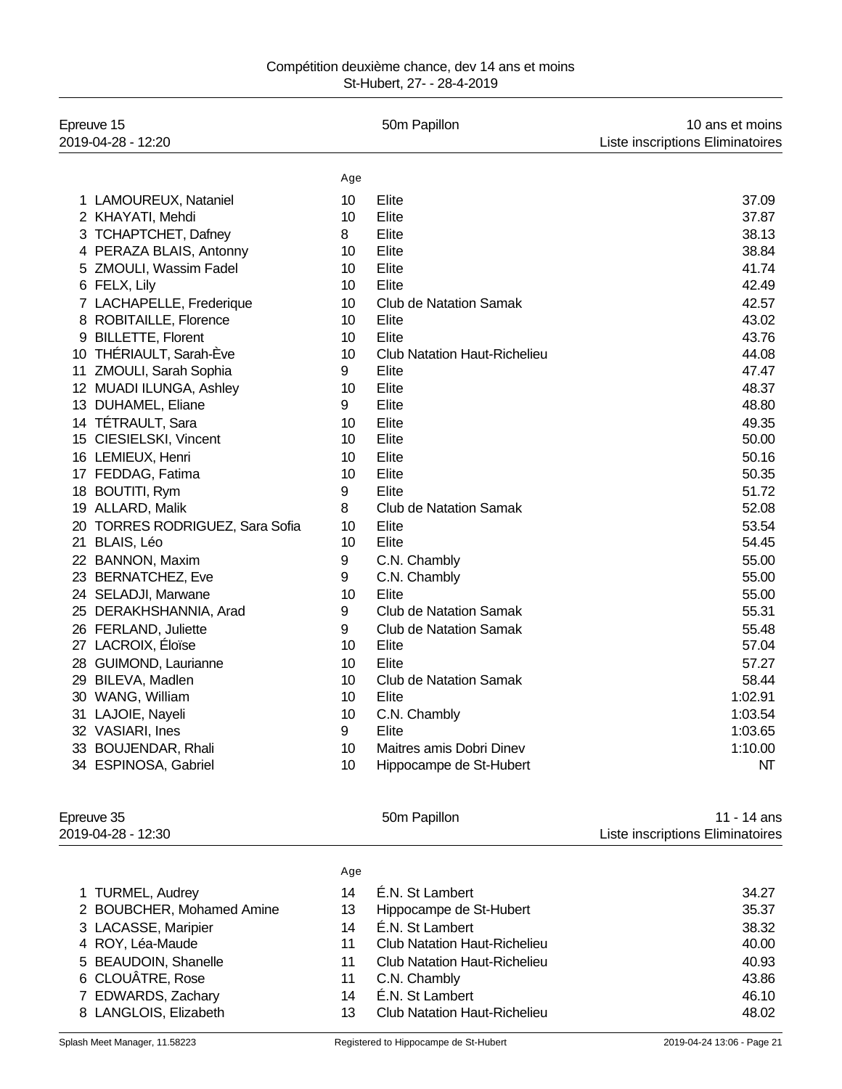| Compétition deuxième chance, dev 14 ans et moins |                            |  |
|--------------------------------------------------|----------------------------|--|
|                                                  | St-Hubert, 27- - 28-4-2019 |  |

| Epreuve 15<br>2019-04-28 - 12:20 |     | 50m Papillon                        | 10 ans et moins<br>Liste inscriptions Eliminatoires |
|----------------------------------|-----|-------------------------------------|-----------------------------------------------------|
|                                  | Age |                                     |                                                     |
| 1 LAMOUREUX, Nataniel            | 10  | Elite                               | 37.09                                               |
| 2 KHAYATI, Mehdi                 | 10  | Elite                               | 37.87                                               |
| 3 TCHAPTCHET, Dafney             | 8   | Elite                               | 38.13                                               |
| 4 PERAZA BLAIS, Antonny          | 10  | Elite                               | 38.84                                               |
| 5 ZMOULI, Wassim Fadel           | 10  | Elite                               | 41.74                                               |
| 6 FELX, Lily                     | 10  | Elite                               | 42.49                                               |
| 7 LACHAPELLE, Frederique         | 10  | <b>Club de Natation Samak</b>       | 42.57                                               |
| 8 ROBITAILLE, Florence           | 10  | Elite                               | 43.02                                               |
| 9 BILLETTE, Florent              | 10  | Elite                               | 43.76                                               |
| 10 THÉRIAULT, Sarah-Ève          | 10  | <b>Club Natation Haut-Richelieu</b> | 44.08                                               |
| 11 ZMOULI, Sarah Sophia          | 9   | Elite                               | 47.47                                               |
| 12 MUADI ILUNGA, Ashley          | 10  | Elite                               | 48.37                                               |
| 13 DUHAMEL, Eliane               | 9   | Elite                               | 48.80                                               |
| 14 TÉTRAULT, Sara                | 10  | Elite                               | 49.35                                               |
| 15 CIESIELSKI, Vincent           | 10  | Elite                               | 50.00                                               |
| 16 LEMIEUX, Henri                | 10  | Elite                               | 50.16                                               |
| 17 FEDDAG, Fatima                | 10  | Elite                               | 50.35                                               |
| 18 BOUTITI, Rym                  | 9   | Elite                               | 51.72                                               |
| 19 ALLARD, Malik                 | 8   | Club de Natation Samak              | 52.08                                               |
| 20 TORRES RODRIGUEZ, Sara Sofia  | 10  | Elite                               | 53.54                                               |
| 21 BLAIS, Léo                    | 10  | Elite                               | 54.45                                               |
| 22 BANNON, Maxim                 | 9   | C.N. Chambly                        | 55.00                                               |
| 23 BERNATCHEZ, Eve               | 9   | C.N. Chambly                        | 55.00                                               |
| 24 SELADJI, Marwane              | 10  | Elite                               | 55.00                                               |
| 25 DERAKHSHANNIA, Arad           | 9   | <b>Club de Natation Samak</b>       | 55.31                                               |
| 26 FERLAND, Juliette             | 9   | <b>Club de Natation Samak</b>       | 55.48                                               |
| 27 LACROIX, Éloïse               | 10  | Elite                               | 57.04                                               |
| 28 GUIMOND, Laurianne            | 10  | Elite                               | 57.27                                               |
| 29 BILEVA, Madlen                | 10  | <b>Club de Natation Samak</b>       | 58.44                                               |
| 30 WANG, William                 | 10  | Elite                               | 1:02.91                                             |
| 31 LAJOIE, Nayeli                | 10  | C.N. Chambly                        | 1:03.54                                             |
| 32 VASIARI, Ines                 | 9   | Elite                               | 1:03.65                                             |
| 33 BOUJENDAR, Rhali              | 10  | Maitres amis Dobri Dinev            | 1:10.00                                             |
| 34 ESPINOSA, Gabriel             | 10  | Hippocampe de St-Hubert             | NT                                                  |

|     | 50m Papillon                        | 11 - 14 ans<br>Liste inscriptions Eliminatoires |
|-----|-------------------------------------|-------------------------------------------------|
| Age |                                     |                                                 |
| 14  | E.N. St Lambert                     | 34.27                                           |
| 13  | Hippocampe de St-Hubert             | 35.37                                           |
| 14  | E.N. St Lambert                     | 38.32                                           |
| 11  | Club Natation Haut-Richelieu        | 40.00                                           |
| 11  | Club Natation Haut-Richelieu        | 40.93                                           |
| 11  | C.N. Chambly                        | 43.86                                           |
| 14  | É.N. St Lambert                     | 46.10                                           |
| 13  | <b>Club Natation Haut-Richelieu</b> | 48.02                                           |
|     |                                     |                                                 |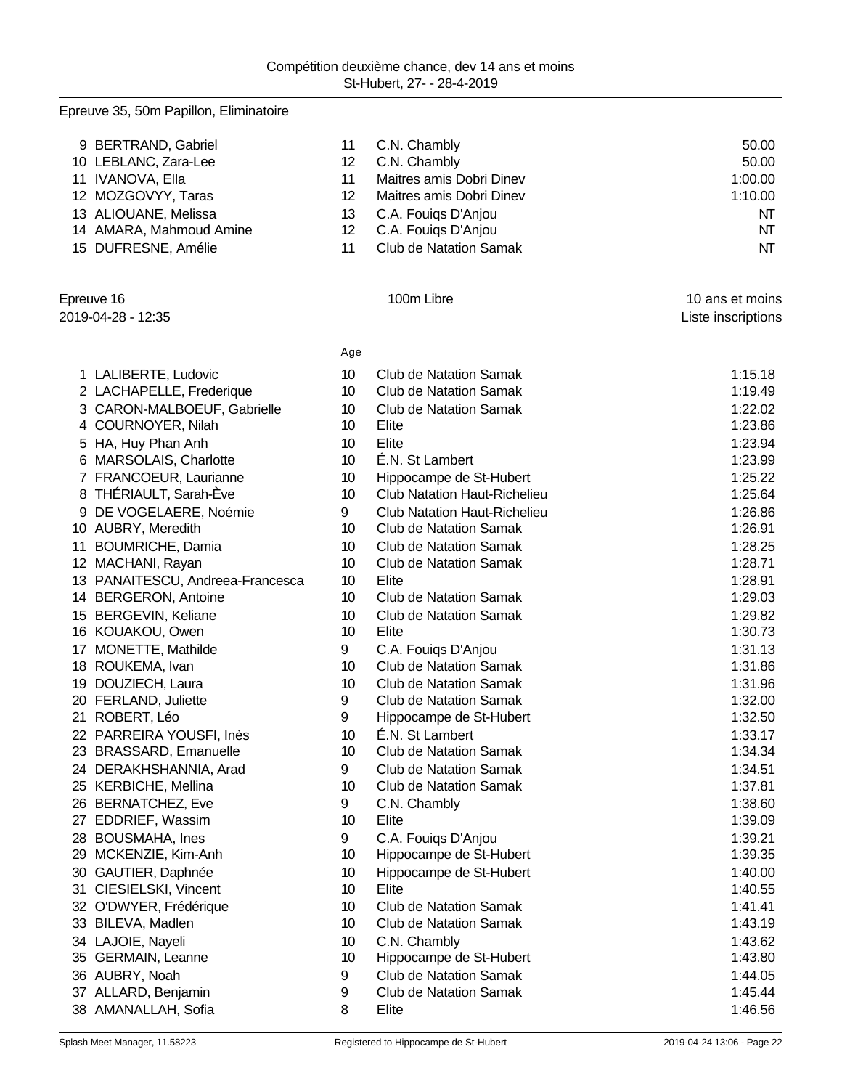# Epreuve 35, 50m Papillon, Eliminatoire

| 9 BERTRAND, Gabriel     |     | C.N. Chambly                  | 50.00   |
|-------------------------|-----|-------------------------------|---------|
| 10 LEBLANC, Zara-Lee    | 12  | C.N. Chambly                  | 50.00   |
| 11 IVANOVA, Ella        |     | Maitres amis Dobri Dinev      | 1:00.00 |
| 12 MOZGOVYY, Taras      | 12  | Maitres amis Dobri Dinev      | 1:10.00 |
| 13 ALIOUANE, Melissa    | 13. | C.A. Fouigs D'Anjou           | NT      |
| 14 AMARA, Mahmoud Amine | 12. | C.A. Fouigs D'Anjou           | NT      |
| 15 DUFRESNE, Amélie     |     | <b>Club de Natation Samak</b> | NT      |

| Epreuve 16<br>2019-04-28 - 12:35    |     | 100m Libre                          | 10 ans et moins<br>Liste inscriptions |  |
|-------------------------------------|-----|-------------------------------------|---------------------------------------|--|
|                                     | Age |                                     |                                       |  |
| 1 LALIBERTE, Ludovic                | 10  | <b>Club de Natation Samak</b>       | 1:15.18                               |  |
| 2 LACHAPELLE, Frederique            | 10  | <b>Club de Natation Samak</b>       | 1:19.49                               |  |
| 3 CARON-MALBOEUF, Gabrielle         | 10  | <b>Club de Natation Samak</b>       | 1:22.02                               |  |
| 4 COURNOYER, Nilah                  | 10  | Elite                               | 1:23.86                               |  |
| HA, Huy Phan Anh<br>5               | 10  | Elite                               | 1:23.94                               |  |
| MARSOLAIS, Charlotte<br>6           | 10  | É.N. St Lambert                     | 1:23.99                               |  |
| 7 FRANCOEUR, Laurianne              | 10  | Hippocampe de St-Hubert             | 1:25.22                               |  |
| 8 THÉRIAULT, Sarah-Ève              | 10  | <b>Club Natation Haut-Richelieu</b> | 1:25.64                               |  |
| DE VOGELAERE, Noémie<br>9           | 9   | <b>Club Natation Haut-Richelieu</b> | 1:26.86                               |  |
| 10 AUBRY, Meredith                  | 10  | <b>Club de Natation Samak</b>       | 1:26.91                               |  |
| 11<br><b>BOUMRICHE, Damia</b>       | 10  | <b>Club de Natation Samak</b>       | 1:28.25                               |  |
| 12 <sup>2</sup><br>MACHANI, Rayan   | 10  | <b>Club de Natation Samak</b>       | 1:28.71                               |  |
| PANAITESCU, Andreea-Francesca<br>13 | 10  | Elite                               | 1:28.91                               |  |
| 14 BERGERON, Antoine                | 10  | <b>Club de Natation Samak</b>       | 1:29.03                               |  |
| <b>BERGEVIN, Keliane</b><br>15      | 10  | <b>Club de Natation Samak</b>       | 1:29.82                               |  |
| 16 KOUAKOU, Owen                    | 10  | Elite                               | 1:30.73                               |  |
| MONETTE, Mathilde<br>17             | 9   | C.A. Fouigs D'Anjou                 | 1:31.13                               |  |
| 18 ROUKEMA, Ivan                    | 10  | <b>Club de Natation Samak</b>       | 1:31.86                               |  |
| 19 DOUZIECH, Laura                  | 10  | <b>Club de Natation Samak</b>       | 1:31.96                               |  |
| 20 FERLAND, Juliette                | 9   | <b>Club de Natation Samak</b>       | 1:32.00                               |  |
| 21 ROBERT, Léo                      | 9   | Hippocampe de St-Hubert             | 1:32.50                               |  |
| 22 PARREIRA YOUSFI, Inès            | 10  | É.N. St Lambert                     | 1:33.17                               |  |
| 23 BRASSARD, Emanuelle              | 10  | <b>Club de Natation Samak</b>       | 1:34.34                               |  |
| 24 DERAKHSHANNIA, Arad              | 9   | <b>Club de Natation Samak</b>       | 1:34.51                               |  |
| 25 KERBICHE, Mellina                | 10  | <b>Club de Natation Samak</b>       | 1:37.81                               |  |
| 26 BERNATCHEZ, Eve                  | 9   | C.N. Chambly                        | 1:38.60                               |  |
| EDDRIEF, Wassim<br>27               | 10  | Elite                               | 1:39.09                               |  |
| 28 BOUSMAHA, Ines                   | 9   | C.A. Fouigs D'Anjou                 | 1:39.21                               |  |
| MCKENZIE, Kim-Anh<br>29             | 10  | Hippocampe de St-Hubert             | 1:39.35                               |  |
| 30<br>GAUTIER, Daphnée              | 10  | Hippocampe de St-Hubert             | 1:40.00                               |  |
| 31<br>CIESIELSKI, Vincent           | 10  | Elite                               | 1:40.55                               |  |
| 32 O'DWYER, Frédérique              | 10  | <b>Club de Natation Samak</b>       | 1:41.41                               |  |
| 33 BILEVA, Madlen                   | 10  | <b>Club de Natation Samak</b>       | 1:43.19                               |  |
| 34 LAJOIE, Nayeli                   | 10  | C.N. Chambly                        | 1:43.62                               |  |
| 35 GERMAIN, Leanne                  | 10  | Hippocampe de St-Hubert             | 1:43.80                               |  |
| 36 AUBRY, Noah                      | 9   | <b>Club de Natation Samak</b>       | 1:44.05                               |  |
| 37 ALLARD, Benjamin                 | 9   | <b>Club de Natation Samak</b>       | 1:45.44                               |  |
| 38 AMANALLAH, Sofia                 | 8   | Elite                               | 1:46.56                               |  |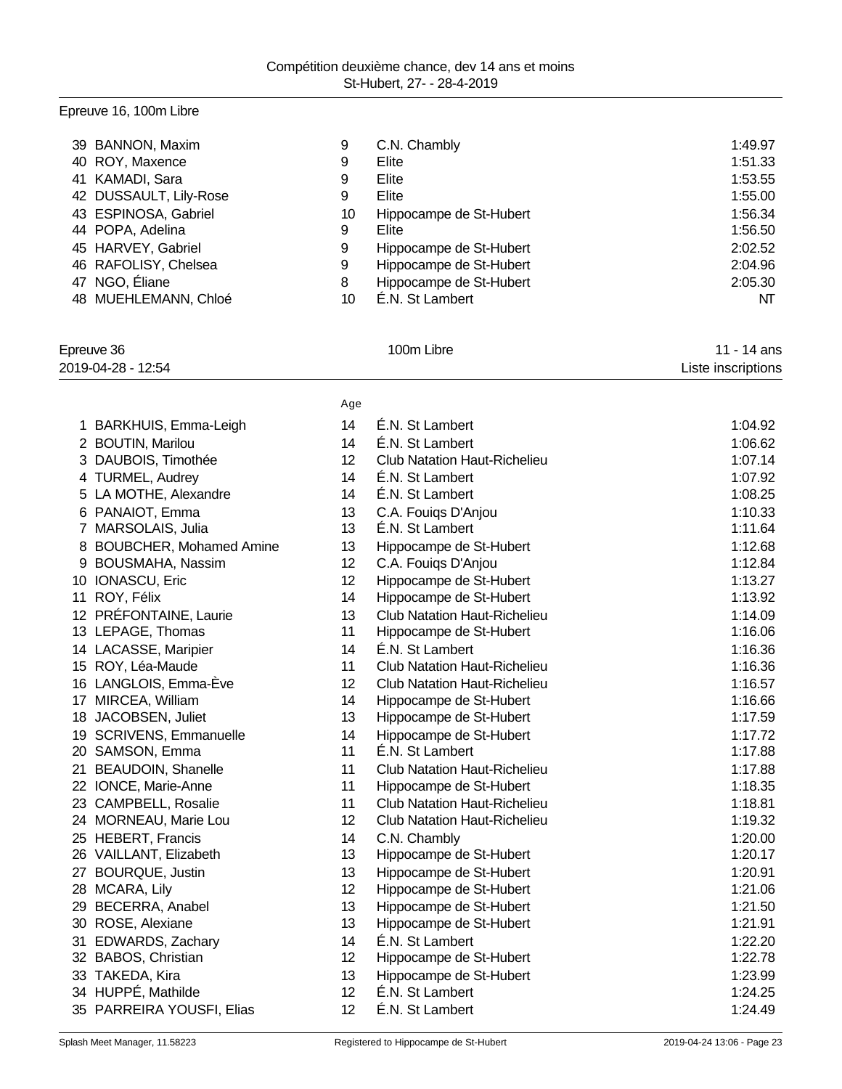# Epreuve 16, 100m Libre

| 39 BANNON, Maxim       | 9  | C.N. Chambly            | 1:49.97 |
|------------------------|----|-------------------------|---------|
| 40 ROY, Maxence        | 9  | Elite                   | 1:51.33 |
| 41 KAMADI, Sara        | 9  | Elite                   | 1:53.55 |
| 42 DUSSAULT, Lily-Rose | 9  | Elite                   | 1:55.00 |
| 43 ESPINOSA, Gabriel   | 10 | Hippocampe de St-Hubert | 1:56.34 |
| 44 POPA, Adelina       | 9  | Elite                   | 1:56.50 |
| 45 HARVEY, Gabriel     | 9  | Hippocampe de St-Hubert | 2:02.52 |
| 46 RAFOLISY, Chelsea   | 9  | Hippocampe de St-Hubert | 2:04.96 |
| 47 NGO, Éliane         | 8  | Hippocampe de St-Hubert | 2:05.30 |
| 48 MUEHLEMANN, Chloé   | 10 | É.N. St Lambert         | NT      |

Age

# Epreuve 36 **100m Libre** 11 - 14 ans

2019-04-28 - 12:54 Liste inscriptions

|    | 1 BARKHUIS, Emma-Leigh    | 14 | É.N. St Lambert                        | 1:04.92 |
|----|---------------------------|----|----------------------------------------|---------|
|    | 2 BOUTIN, Marilou         | 14 | É.N. St Lambert                        | 1:06.62 |
|    | 3 DAUBOIS, Timothée       | 12 | <b>Club Natation Haut-Richelieu</b>    | 1:07.14 |
|    | 4 TURMEL, Audrey          | 14 | É.N. St Lambert                        | 1:07.92 |
| 5  | LA MOTHE, Alexandre       | 14 | É.N. St Lambert                        | 1:08.25 |
|    | PANAIOT, Emma             | 13 |                                        | 1:10.33 |
| 6  | 7 MARSOLAIS, Julia        | 13 | C.A. Fouigs D'Anjou<br>É.N. St Lambert | 1:11.64 |
|    | 8 BOUBCHER, Mohamed Amine | 13 | Hippocampe de St-Hubert                | 1:12.68 |
| 9  | BOUSMAHA, Nassim          | 12 | C.A. Fouigs D'Anjou                    | 1:12.84 |
|    | 10 IONASCU, Eric          | 12 | Hippocampe de St-Hubert                | 1:13.27 |
|    | 11 ROY, Félix             | 14 | Hippocampe de St-Hubert                | 1:13.92 |
|    | 12 PRÉFONTAINE, Laurie    | 13 | <b>Club Natation Haut-Richelieu</b>    | 1:14.09 |
|    | 13 LEPAGE, Thomas         | 11 | Hippocampe de St-Hubert                | 1:16.06 |
|    | 14 LACASSE, Maripier      | 14 | É.N. St Lambert                        | 1:16.36 |
|    | 15 ROY, Léa-Maude         | 11 | <b>Club Natation Haut-Richelieu</b>    | 1:16.36 |
|    | 16 LANGLOIS, Emma-Ève     | 12 | <b>Club Natation Haut-Richelieu</b>    | 1:16.57 |
|    | 17 MIRCEA, William        | 14 | Hippocampe de St-Hubert                | 1:16.66 |
|    | 18 JACOBSEN, Juliet       | 13 | Hippocampe de St-Hubert                | 1:17.59 |
|    | 19 SCRIVENS, Emmanuelle   | 14 | Hippocampe de St-Hubert                | 1:17.72 |
|    | 20 SAMSON, Emma           | 11 | É.N. St Lambert                        | 1:17.88 |
| 21 | <b>BEAUDOIN, Shanelle</b> | 11 | <b>Club Natation Haut-Richelieu</b>    | 1:17.88 |
|    | 22 IONCE, Marie-Anne      | 11 | Hippocampe de St-Hubert                | 1:18.35 |
|    | 23 CAMPBELL, Rosalie      | 11 | <b>Club Natation Haut-Richelieu</b>    | 1:18.81 |
|    | 24 MORNEAU, Marie Lou     | 12 | <b>Club Natation Haut-Richelieu</b>    | 1:19.32 |
|    | 25 HEBERT, Francis        | 14 | C.N. Chambly                           | 1:20.00 |
|    | 26 VAILLANT, Elizabeth    | 13 | Hippocampe de St-Hubert                | 1:20.17 |
| 27 | <b>BOURQUE, Justin</b>    | 13 | Hippocampe de St-Hubert                | 1:20.91 |
|    | 28 MCARA, Lily            | 12 | Hippocampe de St-Hubert                | 1:21.06 |
|    | 29 BECERRA, Anabel        | 13 | Hippocampe de St-Hubert                | 1:21.50 |
|    | 30 ROSE, Alexiane         | 13 | Hippocampe de St-Hubert                | 1:21.91 |
|    | 31 EDWARDS, Zachary       | 14 | É.N. St Lambert                        | 1:22.20 |
|    | 32 BABOS, Christian       | 12 | Hippocampe de St-Hubert                | 1:22.78 |
|    | 33 TAKEDA, Kira           | 13 | Hippocampe de St-Hubert                | 1:23.99 |
|    | 34 HUPPÉ, Mathilde        | 12 | É.N. St Lambert                        | 1:24.25 |
|    | 35 PARREIRA YOUSFI, Elias | 12 | É.N. St Lambert                        | 1:24.49 |
|    |                           |    |                                        |         |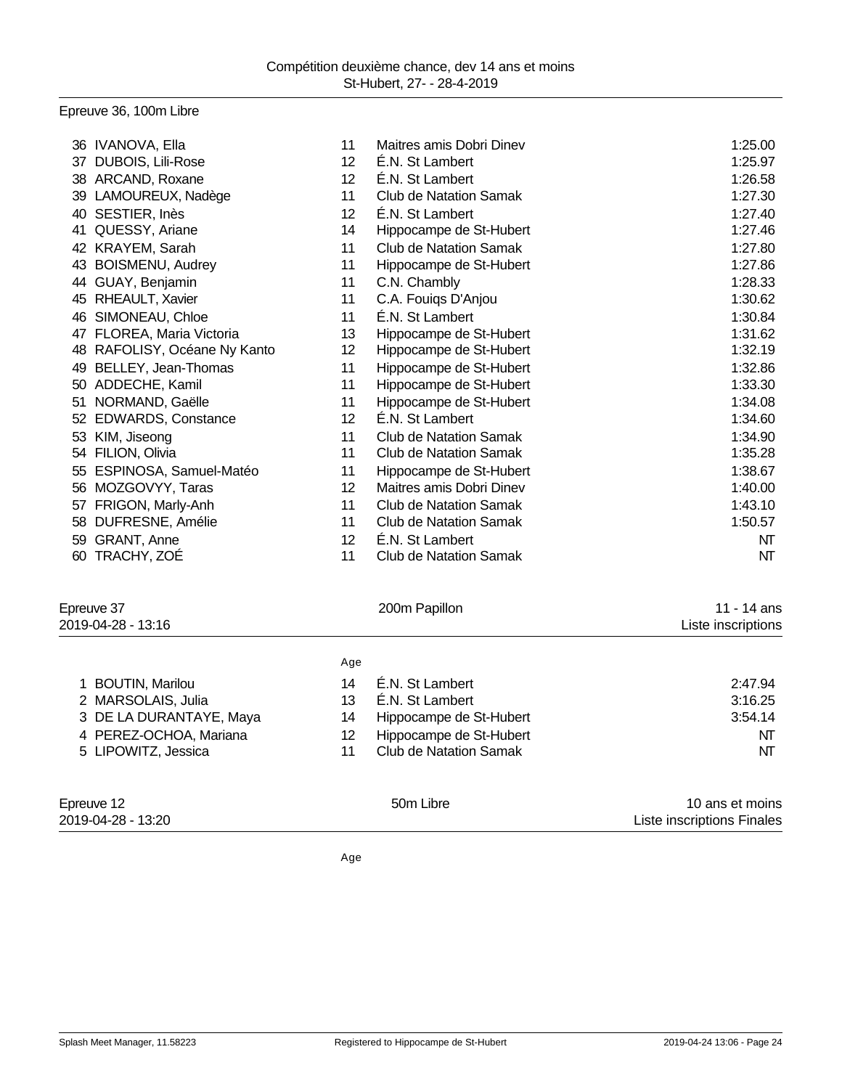# Epreuve 36, 100m Libre

|    | 36 IVANOVA, Ella          | 11 | Maitres amis Dobri Dinev      | 1:25.00 |
|----|---------------------------|----|-------------------------------|---------|
| 37 | DUBOIS, Lili-Rose         | 12 | É.N. St Lambert               | 1:25.97 |
| 38 | ARCAND, Roxane            | 12 | É.N. St Lambert               | 1:26.58 |
| 39 | LAMOUREUX, Nadège         | 11 | <b>Club de Natation Samak</b> | 1:27.30 |
| 40 | SESTIER, Inès             | 12 | É.N. St Lambert               | 1:27.40 |
| 41 | QUESSY, Ariane            | 14 | Hippocampe de St-Hubert       | 1:27.46 |
| 42 | KRAYEM, Sarah             | 11 | <b>Club de Natation Samak</b> | 1:27.80 |
| 43 | BOISMENU, Audrey          | 11 | Hippocampe de St-Hubert       | 1:27.86 |
| 44 | GUAY, Benjamin            | 11 | C.N. Chambly                  | 1:28.33 |
| 45 | RHEAULT, Xavier           | 11 | C.A. Fouiqs D'Anjou           | 1:30.62 |
| 46 | SIMONEAU, Chloe           | 11 | É.N. St Lambert               | 1:30.84 |
| 47 | FLOREA, Maria Victoria    | 13 | Hippocampe de St-Hubert       | 1:31.62 |
| 48 | RAFOLISY, Océane Ny Kanto | 12 | Hippocampe de St-Hubert       | 1:32.19 |
| 49 | BELLEY, Jean-Thomas       | 11 | Hippocampe de St-Hubert       | 1:32.86 |
| 50 | ADDECHE, Kamil            | 11 | Hippocampe de St-Hubert       | 1:33.30 |
| 51 | NORMAND, Gaëlle           | 11 | Hippocampe de St-Hubert       | 1:34.08 |
| 52 | EDWARDS, Constance        | 12 | É.N. St Lambert               | 1:34.60 |
| 53 | KIM, Jiseong              | 11 | <b>Club de Natation Samak</b> | 1:34.90 |
| 54 | FILION, Olivia            | 11 | <b>Club de Natation Samak</b> | 1:35.28 |
| 55 | ESPINOSA, Samuel-Matéo    | 11 | Hippocampe de St-Hubert       | 1:38.67 |
| 56 | MOZGOVYY, Taras           | 12 | Maitres amis Dobri Dinev      | 1:40.00 |
| 57 | FRIGON, Marly-Anh         | 11 | <b>Club de Natation Samak</b> | 1:43.10 |
| 58 | DUFRESNE, Amélie          | 11 | Club de Natation Samak        | 1:50.57 |
| 59 | GRANT, Anne               | 12 | É.N. St Lambert               | NΤ      |
| 60 | TRACHY, ZOÉ               | 11 | Club de Natation Samak        | NT      |
|    |                           |    |                               |         |

| Epreuve 37<br>2019-04-28 - 13:16 |     | 200m Papillon                 | 11 - 14 ans<br>Liste inscriptions             |
|----------------------------------|-----|-------------------------------|-----------------------------------------------|
|                                  | Age |                               |                                               |
| <b>BOUTIN, Marilou</b>           | 14  | E.N. St Lambert               | 2:47.94                                       |
| 2 MARSOLAIS, Julia               | 13  | E.N. St Lambert               | 3:16.25                                       |
| 3 DE LA DURANTAYE, Maya          | 14  | Hippocampe de St-Hubert       | 3:54.14                                       |
| 4 PEREZ-OCHOA, Mariana           | 12  | Hippocampe de St-Hubert       | NΤ                                            |
| 5 LIPOWITZ, Jessica              | 11  | <b>Club de Natation Samak</b> | NΤ                                            |
| Epreuve 12<br>2019-04-28 - 13:20 |     | 50 <sub>m</sub> Libre         | 10 ans et moins<br>Liste inscriptions Finales |

Liste inscriptions Finales

Age